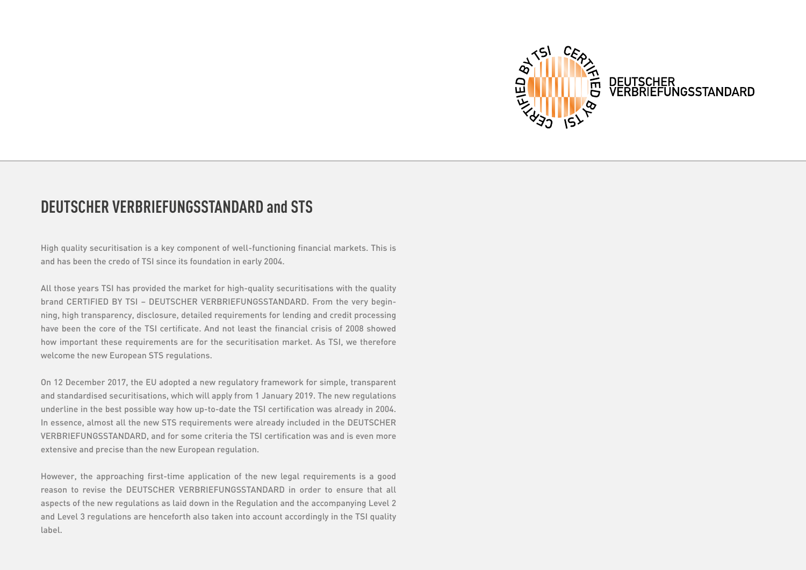

#### **DEUTSCHER VERBRIEFUNGSSTANDARD and STS**

High quality securitisation is a key component of well-functioning financial markets. This is and has been the credo of TSI since its foundation in early 2004.

All those years TSI has provided the market for high-quality securitisations with the quality brand CERTIFIED BY TSI – DEUTSCHER VERBRIEFUNGSSTANDARD. From the very beginning, high transparency, disclosure, detailed requirements for lending and credit processing have been the core of the TSI certificate. And not least the financial crisis of 2008 showed how important these requirements are for the securitisation market. As TSI, we therefore welcome the new European STS regulations.

On 12 December 2017, the EU adopted a new regulatory framework for simple, transparent and standardised securitisations, which will apply from 1 January 2019. The new regulations underline in the best possible way how up-to-date the TSI certification was already in 2004. In essence, almost all the new STS requirements were already included in the DEUTSCHER VERBRIEFUNGSSTANDARD, and for some criteria the TSI certification was and is even more extensive and precise than the new European regulation.

However, the approaching first-time application of the new legal requirements is a good reason to revise the DEUTSCHER VERBRIEFUNGSSTANDARD in order to ensure that all aspects of the new regulations as laid down in the Regulation and the accompanying Level 2 and Level 3 regulations are henceforth also taken into account accordingly in the TSI quality label.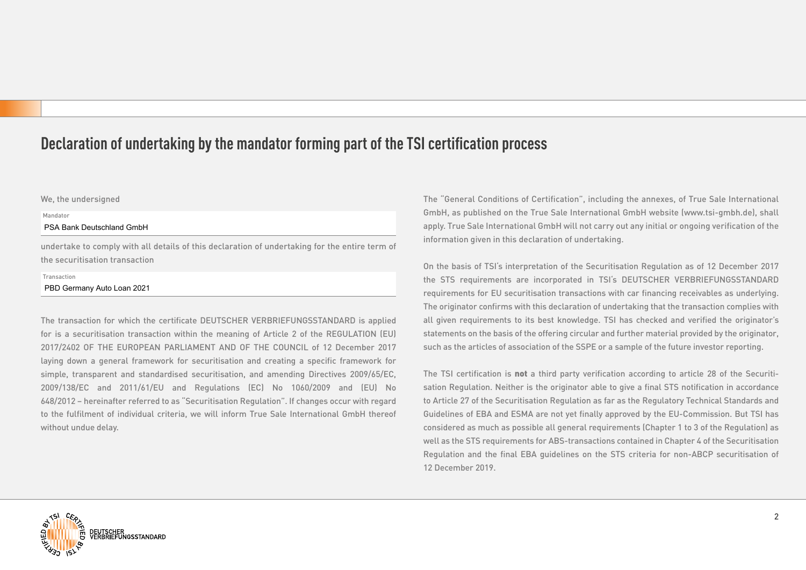## **Declaration of undertaking by the mandator forming part of the TSI certification process**

#### We, the undersigned

#### Mandator

#### PSA Bank Deutschland GmbH

undertake to comply with all details of this declaration of undertaking for the entire term of the securitisation transaction

#### Transaction

#### PBD Germany Auto Loan 2021

The transaction for which the certificate DEUTSCHER VERBRIEFUNGSSTANDARD is applied for is a securitisation transaction within the meaning of Article 2 of the REGULATION (EU) 2017/2402 OF THE EUROPEAN PARLIAMENT AND OF THE COUNCIL of 12 December 2017 laying down a general framework for securitisation and creating a specific framework for simple, transparent and standardised securitisation, and amending Directives 2009/65/EC, 2009/138/EC and 2011/61/EU and Regulations (EC) No 1060/2009 and (EU) No 648/2012 – hereinafter referred to as "Securitisation Regulation". If changes occur with regard to the fulfilment of individual criteria, we will inform True Sale International GmbH thereof without undue delay.

The "General Conditions of Certification", including the annexes, of True Sale International GmbH, as published on the True Sale International GmbH website (www.tsi-gmbh.de), shall apply. True Sale International GmbH will not carry out any initial or ongoing verification of the information given in this declaration of undertaking.

On the basis of TSI's interpretation of the Securitisation Regulation as of 12 December 2017 the STS requirements are incorporated in TSI's DEUTSCHER VERBRIEFUNGSSTANDARD requirements for EU securitisation transactions with car financing receivables as underlying. The originator confirms with this declaration of undertaking that the transaction complies with all given requirements to its best knowledge. TSI has checked and verified the originator's statements on the basis of the offering circular and further material provided by the originator, such as the articles of association of the SSPE or a sample of the future investor reporting.

The TSI certification is not a third party verification according to article 28 of the Securitisation Regulation. Neither is the originator able to give a final STS notification in accordance to Article 27 of the Securitisation Regulation as far as the Regulatory Technical Standards and Guidelines of EBA and ESMA are not yet finally approved by the EU-Commission. But TSI has considered as much as possible all general requirements (Chapter 1 to 3 of the Regulation) as well as the STS requirements for ABS-transactions contained in Chapter 4 of the Securitisation Regulation and the final EBA guidelines on the STS criteria for non-ABCP securitisation of 12 December 2019.

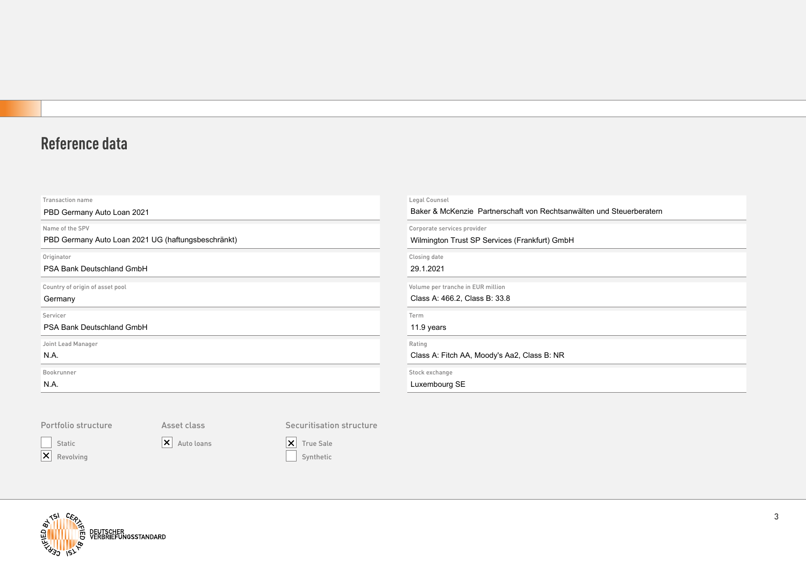# **Reference data**

| Transaction name                                   | Legal Counsel                                                        |
|----------------------------------------------------|----------------------------------------------------------------------|
| PBD Germany Auto Loan 2021                         | Baker & McKenzie Partnerschaft von Rechtsanwälten und Steuerberatern |
| Name of the SPV                                    | Corporate services provider                                          |
| PBD Germany Auto Loan 2021 UG (haftungsbeschränkt) | Wilmington Trust SP Services (Frankfurt) GmbH                        |
| Originator                                         | Closing date                                                         |
| PSA Bank Deutschland GmbH                          | 29.1.2021                                                            |
| Country of origin of asset pool                    | Volume per tranche in EUR million                                    |
| Germany                                            | Class A: 466.2, Class B: 33.8                                        |
| Servicer                                           | Term                                                                 |
| PSA Bank Deutschland GmbH                          | 11.9 years                                                           |
| Joint Lead Manager                                 | Rating                                                               |
| N.A.                                               | Class A: Fitch AA, Moody's Aa2, Class B: NR                          |
| Bookrunner                                         | Stock exchange                                                       |
| N.A.                                               | Luxembourg SE                                                        |
|                                                    |                                                                      |

#### Portfolio structure

Static

Asset class

 $\overline{\mathsf{X}}$  Revolving

X Auto loans

Securitisation structure

 $\boxed{\mathsf{X}}$  True Sale Synthetic

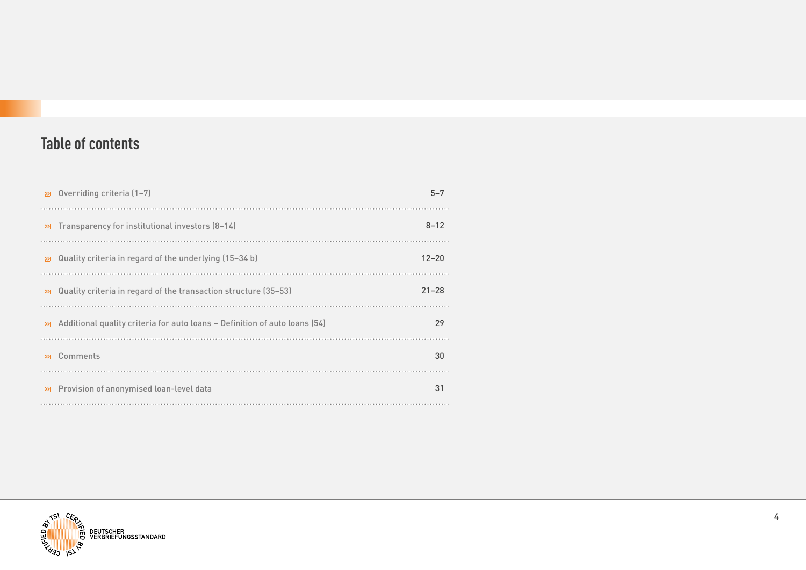# **Table of contents**

| $\ge$ Overriding criteria (1-7)                                                      | $5 - 7$   |
|--------------------------------------------------------------------------------------|-----------|
| Transparency for institutional investors (8-14)<br>$\geq$                            | $8 - 12$  |
| Quality criteria in regard of the underlying (15-34 b)<br>≫⊩                         | $12 - 20$ |
| Quality criteria in regard of the transaction structure (35-53)<br>$\geq$            | $21 - 28$ |
| Additional quality criteria for auto loans – Definition of auto loans (54)<br>$\geq$ | 29        |
| Comments<br>>1                                                                       | 30        |
| Provision of anonymised loan-level data<br>≫                                         | 31        |

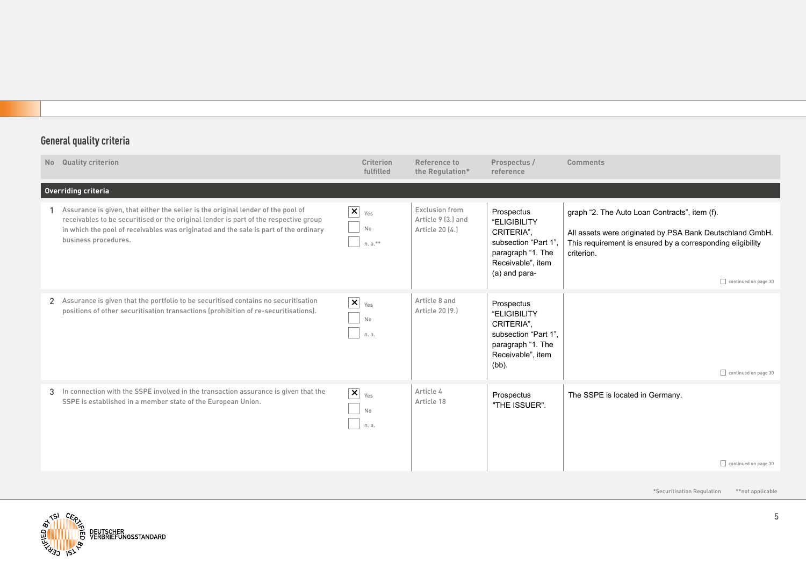| No Quality criterion                                                                                                                                                                                                                                                                     | <b>Criterion</b><br>fulfilled                  | Reference to<br>the Regulation*                         | Prospectus /<br>reference                                                                                                  | <b>Comments</b>                                                                                                                                                                                               |  |  |  |  |
|------------------------------------------------------------------------------------------------------------------------------------------------------------------------------------------------------------------------------------------------------------------------------------------|------------------------------------------------|---------------------------------------------------------|----------------------------------------------------------------------------------------------------------------------------|---------------------------------------------------------------------------------------------------------------------------------------------------------------------------------------------------------------|--|--|--|--|
| Overriding criteria                                                                                                                                                                                                                                                                      |                                                |                                                         |                                                                                                                            |                                                                                                                                                                                                               |  |  |  |  |
| Assurance is given, that either the seller is the original lender of the pool of<br>receivables to be securitised or the original lender is part of the respective group<br>in which the pool of receivables was originated and the sale is part of the ordinary<br>business procedures. | $\boxed{\mathsf{x}}$<br>Yes<br>No<br>$n. a.**$ | Exclusion from<br>Article 9 (3.) and<br>Article 20 (4.) | Prospectus<br>"ELIGIBILITY<br>CRITERIA",<br>subsection "Part 1"<br>paragraph "1. The<br>Receivable", item<br>(a) and para- | graph "2. The Auto Loan Contracts", item (f).<br>All assets were originated by PSA Bank Deutschland GmbH.<br>This requirement is ensured by a corresponding eligibility<br>criterion.<br>continued on page 30 |  |  |  |  |
| 2 Assurance is given that the portfolio to be securitised contains no securitisation<br>positions of other securitisation transactions (prohibition of re-securitisations).                                                                                                              | $\boxed{\mathsf{x}}$<br>Yes<br>No<br>n. a.     | Article 8 and<br>Article 20 [9.]                        | Prospectus<br>"ELIGIBILITY<br>CRITERIA",<br>subsection "Part 1".<br>paragraph "1. The<br>Receivable", item<br>$(bb)$ .     | continued on page 30                                                                                                                                                                                          |  |  |  |  |
| 3 In connection with the SSPE involved in the transaction assurance is given that the<br>SSPE is established in a member state of the European Union.                                                                                                                                    | $\boxed{\mathsf{x}}$<br>Yes<br>No<br>n. a.     | Article 4<br>Article 18                                 | Prospectus<br>"THE ISSUER".                                                                                                | The SSPE is located in Germany.<br>continued on page 30                                                                                                                                                       |  |  |  |  |
|                                                                                                                                                                                                                                                                                          |                                                |                                                         |                                                                                                                            | *Securitisation Regulation<br>**not applicable                                                                                                                                                                |  |  |  |  |

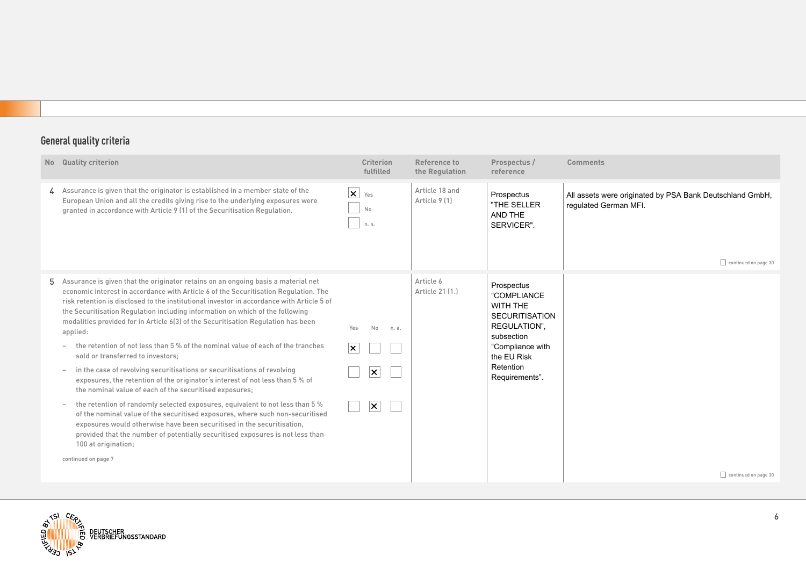| <b>Quality criterion</b><br>No                                                                                                                                                                                                                                                                                                                                                                                                                                                                                                                                                                                                                                                                                                                                                                                                                                                                                                                                                                                                                                                                            |                                                                               | <b>Criterion</b><br>fulfilled                               |       | Reference to<br>the Regulation  | Prospectus /<br>reference                                                                                                                                      | <b>Comments</b>                                                                                                  |
|-----------------------------------------------------------------------------------------------------------------------------------------------------------------------------------------------------------------------------------------------------------------------------------------------------------------------------------------------------------------------------------------------------------------------------------------------------------------------------------------------------------------------------------------------------------------------------------------------------------------------------------------------------------------------------------------------------------------------------------------------------------------------------------------------------------------------------------------------------------------------------------------------------------------------------------------------------------------------------------------------------------------------------------------------------------------------------------------------------------|-------------------------------------------------------------------------------|-------------------------------------------------------------|-------|---------------------------------|----------------------------------------------------------------------------------------------------------------------------------------------------------------|------------------------------------------------------------------------------------------------------------------|
| 4 Assurance is given that the originator is established in a member state of the<br>European Union and all the credits giving rise to the underlying exposures were<br>granted in accordance with Article 9 (1) of the Securitisation Regulation.                                                                                                                                                                                                                                                                                                                                                                                                                                                                                                                                                                                                                                                                                                                                                                                                                                                         |                                                                               | $\mathsf{X}$ Yes<br>No<br>n. a.                             |       | Article 18 and<br>Article 9 [1] | Prospectus<br>"THE SELLER<br>AND THE<br>SERVICER".                                                                                                             | All assets were originated by PSA Bank Deutschland GmbH,<br>requlated German MFI.<br>$\Box$ continued on page 30 |
| Assurance is given that the originator retains on an ongoing basis a material net<br>5.<br>economic interest in accordance with Article 6 of the Securitisation Regulation. The<br>risk retention is disclosed to the institutional investor in accordance with Article 5 of<br>the Securitisation Regulation including information on which of the following<br>modalities provided for in Article 6(3) of the Securitisation Regulation has been<br>applied:<br>the retention of not less than 5 % of the nominal value of each of the tranches<br>sold or transferred to investors;<br>in the case of revolving securitisations or securitisations of revolving<br>exposures, the retention of the originator's interest of not less than 5 % of<br>the nominal value of each of the securitised exposures;<br>the retention of randomly selected exposures, equivalent to not less than 5 %<br>exposures would otherwise have been securitised in the securitisation,<br>provided that the number of potentially securitised exposures is not less than<br>100 at origination;<br>continued on page 7 | of the nominal value of the securitised exposures, where such non-securitised | Yes<br>No<br>∣×∶<br>$\times$<br>$ \boldsymbol{\mathsf{x}} $ | n. a. | Article 6<br>Article 21 [1.]    | Prospectus<br>"COMPLIANCE<br>WITH THE<br><b>SECURITISATION</b><br>REGULATION".<br>subsection<br>"Compliance with<br>the EU Risk<br>Retention<br>Requirements". | continued on page 30                                                                                             |

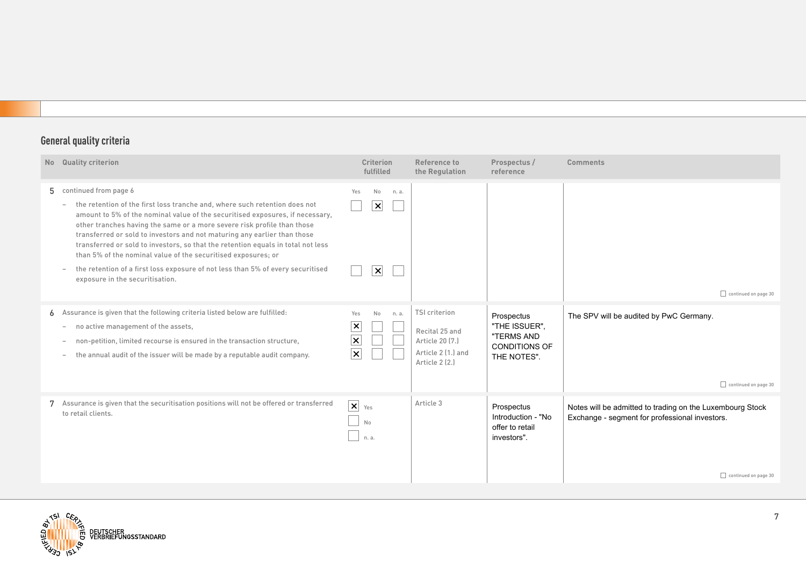| N <sub>o</sub> | <b>Quality criterion</b>                                                                                                                                                                                                                                                                                                                                                                                                                                                                                                                                                                                                 | <b>Criterion</b><br>fulfilled                                              | Reference to<br>the Regulation                                                                    | Prospectus /<br>reference                                                        | <b>Comments</b>                                                                                                                     |
|----------------|--------------------------------------------------------------------------------------------------------------------------------------------------------------------------------------------------------------------------------------------------------------------------------------------------------------------------------------------------------------------------------------------------------------------------------------------------------------------------------------------------------------------------------------------------------------------------------------------------------------------------|----------------------------------------------------------------------------|---------------------------------------------------------------------------------------------------|----------------------------------------------------------------------------------|-------------------------------------------------------------------------------------------------------------------------------------|
|                | 5 continued from page 6<br>the retention of the first loss tranche and, where such retention does not<br>amount to 5% of the nominal value of the securitised exposures, if necessary,<br>other tranches having the same or a more severe risk profile than those<br>transferred or sold to investors and not maturing any earlier than those<br>transferred or sold to investors, so that the retention equals in total not less<br>than 5% of the nominal value of the securitised exposures; or<br>the retention of a first loss exposure of not less than 5% of every securitised<br>exposure in the securitisation. | No<br>Yes<br>n. a.<br>$\vert x \vert$<br>$\vert x \vert$                   |                                                                                                   |                                                                                  | $\Box$ continued on page 30                                                                                                         |
|                | 6 Assurance is given that the following criteria listed below are fulfilled:<br>no active management of the assets,<br>$\overline{\phantom{a}}$<br>non-petition, limited recourse is ensured in the transaction structure,<br>the annual audit of the issuer will be made by a reputable audit company.<br>$\overline{\phantom{a}}$                                                                                                                                                                                                                                                                                      | No<br>Yes<br>n. a.<br>$\vert x \vert$<br>$\times$<br>$\boldsymbol{\times}$ | <b>TSI criterion</b><br>Recital 25 and<br>Article 20 (7.)<br>Article 2 (1.) and<br>Article 2 (2.) | Prospectus<br>"THE ISSUER",<br>"TERMS AND<br><b>CONDITIONS OF</b><br>THE NOTES". | The SPV will be audited by PwC Germany.<br>continued on page 30                                                                     |
|                | 7 Assurance is given that the securitisation positions will not be offered or transferred<br>to retail clients.                                                                                                                                                                                                                                                                                                                                                                                                                                                                                                          | $\mathbf{x}$ $_{\text{Yes}}$<br><b>No</b><br>n. a.                         | Article 3                                                                                         | Prospectus<br>Introduction - "No<br>offer to retail<br>investors".               | Notes will be admitted to trading on the Luxembourg Stock<br>Exchange - segment for professional investors.<br>continued on page 30 |

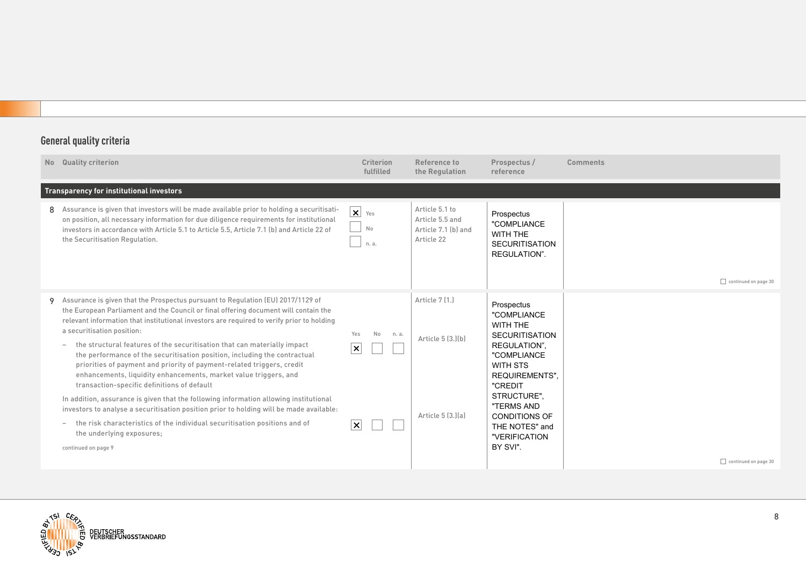| <b>No</b> | <b>Quality criterion</b>                                                                                                                                                                                                                                                                                                                                                                                                                                                                                                                                                                                                                                                                                                                                                                                                                                                                                                                                                        | <b>Criterion</b><br>fulfilled                            | Reference to<br>the Regulation                                         | Prospectus /<br>reference                                                                                                                                                                                                                         | <b>Comments</b>      |
|-----------|---------------------------------------------------------------------------------------------------------------------------------------------------------------------------------------------------------------------------------------------------------------------------------------------------------------------------------------------------------------------------------------------------------------------------------------------------------------------------------------------------------------------------------------------------------------------------------------------------------------------------------------------------------------------------------------------------------------------------------------------------------------------------------------------------------------------------------------------------------------------------------------------------------------------------------------------------------------------------------|----------------------------------------------------------|------------------------------------------------------------------------|---------------------------------------------------------------------------------------------------------------------------------------------------------------------------------------------------------------------------------------------------|----------------------|
|           | Transparency for institutional investors                                                                                                                                                                                                                                                                                                                                                                                                                                                                                                                                                                                                                                                                                                                                                                                                                                                                                                                                        |                                                          |                                                                        |                                                                                                                                                                                                                                                   |                      |
| 8         | Assurance is given that investors will be made available prior to holding a securitisati-<br>on position, all necessary information for due diligence requirements for institutional<br>investors in accordance with Article 5.1 to Article 5.5, Article 7.1 (b) and Article 22 of<br>the Securitisation Regulation.                                                                                                                                                                                                                                                                                                                                                                                                                                                                                                                                                                                                                                                            | $\overline{\mathbf{x}}$ Yes<br>No<br>n. a.               | Article 5.1 to<br>Article 5.5 and<br>Article 7.1 (b) and<br>Article 22 | Prospectus<br>"COMPLIANCE<br>WITH THE<br><b>SECURITISATION</b><br>REGULATION".                                                                                                                                                                    | continued on page 30 |
|           | 9 Assurance is given that the Prospectus pursuant to Regulation (EU) 2017/1129 of<br>the European Parliament and the Council or final offering document will contain the<br>relevant information that institutional investors are required to verify prior to holding<br>a securitisation position:<br>the structural features of the securitisation that can materially impact<br>the performance of the securitisation position, including the contractual<br>priorities of payment and priority of payment-related triggers, credit<br>enhancements, liquidity enhancements, market value triggers, and<br>transaction-specific definitions of default<br>In addition, assurance is given that the following information allowing institutional<br>investors to analyse a securitisation position prior to holding will be made available:<br>the risk characteristics of the individual securitisation positions and of<br>the underlying exposures;<br>continued on page 9 | Yes<br>No<br>n. a.<br>$\vert x \vert$<br>$\vert x \vert$ | Article 7 [1.]<br>Article 5 [3.][b]<br>Article 5 (3.)(a)               | Prospectus<br>"COMPLIANCE<br>WITH THE<br><b>SECURITISATION</b><br>REGULATION".<br>"COMPLIANCE<br>WITH STS<br><b>REQUIREMENTS".</b><br>"CREDIT<br>STRUCTURE",<br>"TERMS AND<br><b>CONDITIONS OF</b><br>THE NOTES" and<br>"VERIFICATION<br>BY SVI". |                      |
|           |                                                                                                                                                                                                                                                                                                                                                                                                                                                                                                                                                                                                                                                                                                                                                                                                                                                                                                                                                                                 |                                                          |                                                                        |                                                                                                                                                                                                                                                   | continued on page 30 |

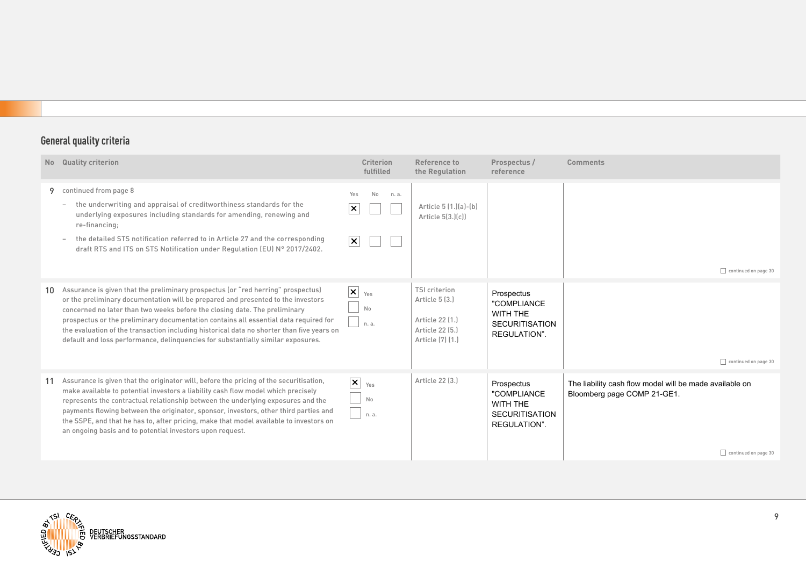| No | <b>Quality criterion</b>                                                                                                                                                                                                                                                                                                                                                                                                                                                                                                    | <b>Criterion</b><br>fulfilled                                                    | Reference to<br>the Regulation                                                                   | Prospectus /<br>reference                                                      | <b>Comments</b>                                                                                                |
|----|-----------------------------------------------------------------------------------------------------------------------------------------------------------------------------------------------------------------------------------------------------------------------------------------------------------------------------------------------------------------------------------------------------------------------------------------------------------------------------------------------------------------------------|----------------------------------------------------------------------------------|--------------------------------------------------------------------------------------------------|--------------------------------------------------------------------------------|----------------------------------------------------------------------------------------------------------------|
| 9  | continued from page 8<br>the underwriting and appraisal of creditworthiness standards for the<br>$\overline{\phantom{0}}$<br>underlying exposures including standards for amending, renewing and<br>re-financing;<br>the detailed STS notification referred to in Article 27 and the corresponding<br>draft RTS and ITS on STS Notification under Regulation (EU) N° 2017/2402.                                                                                                                                             | No<br>Yes<br>n. a.<br>$ \boldsymbol{\mathsf{x}} $<br>$ \boldsymbol{\mathsf{x}} $ | Article 5 (1.)(a)-(b)<br>Article 5(3.)(c))                                                       |                                                                                | continued on page 30                                                                                           |
| 10 | Assurance is given that the preliminary prospectus (or "red herring" prospectus)<br>or the preliminary documentation will be prepared and presented to the investors<br>concerned no later than two weeks before the closing date. The preliminary<br>prospectus or the preliminary documentation contains all essential data required for<br>the evaluation of the transaction including historical data no shorter than five years on<br>default and loss performance, delinguencies for substantially similar exposures. | $\mathsf{X}$ $_{\text{Yes}}$<br>No<br>n. a.                                      | <b>TSI criterion</b><br>Article 5 (3.)<br>Article 22 [1.]<br>Article 22 (5.)<br>Article [7] [1.] | Prospectus<br>"COMPLIANCE<br>WITH THE<br><b>SECURITISATION</b><br>REGULATION". | continued on page 30                                                                                           |
|    | Assurance is given that the originator will, before the pricing of the securitisation,<br>make available to potential investors a liability cash flow model which precisely<br>represents the contractual relationship between the underlying exposures and the<br>payments flowing between the originator, sponsor, investors, other third parties and<br>the SSPE, and that he has to, after pricing, make that model available to investors on<br>an ongoing basis and to potential investors upon request.              | $\vert x \vert$<br>Yes<br>No<br>n. a.                                            | Article 22 [3.]                                                                                  | Prospectus<br>"COMPLIANCE<br>WITH THE<br><b>SECURITISATION</b><br>REGULATION". | The liability cash flow model will be made available on<br>Bloomberg page COMP 21-GE1.<br>continued on page 30 |

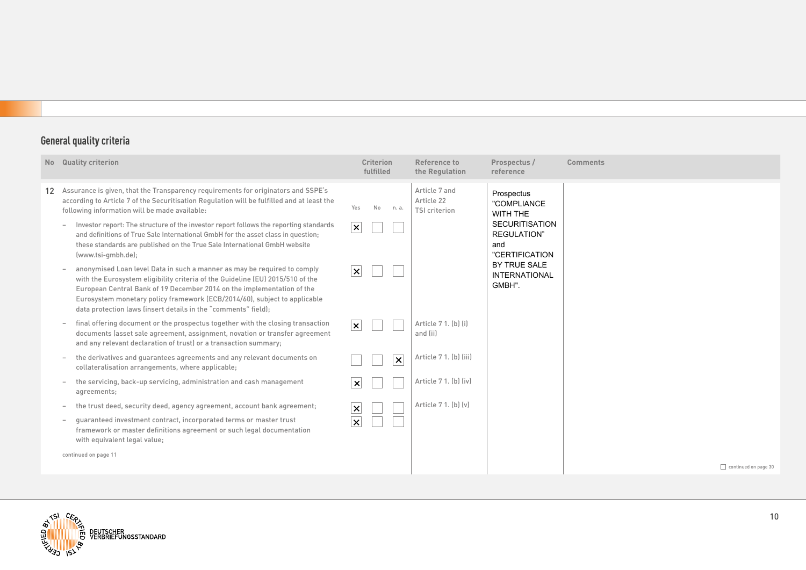| No Quality criterion                                                                                                                                                                                                                                                                                                                                                                | <b>Criterion</b><br>fulfilled | Reference to<br>the Regulation               | Prospectus /<br>reference                                             | <b>Comments</b>      |
|-------------------------------------------------------------------------------------------------------------------------------------------------------------------------------------------------------------------------------------------------------------------------------------------------------------------------------------------------------------------------------------|-------------------------------|----------------------------------------------|-----------------------------------------------------------------------|----------------------|
| 12 Assurance is given, that the Transparency requirements for originators and SSPE's<br>according to Article 7 of the Securitisation Regulation will be fulfilled and at least the<br>following information will be made available:                                                                                                                                                 | Yes<br>No<br>n. a.            | Article 7 and<br>Article 22<br>TSI criterion | Prospectus<br>"COMPLIANCE<br>WITH THE                                 |                      |
| Investor report: The structure of the investor report follows the reporting standards<br>$\overline{\phantom{a}}$<br>and definitions of True Sale International GmbH for the asset class in question;<br>these standards are published on the True Sale International GmbH website<br>(www.tsi-gmbh.de);                                                                            | $\overline{\mathbf{x}}$       |                                              | <b>SECURITISATION</b><br><b>REGULATION</b> "<br>and<br>"CERTIFICATION |                      |
| anonymised Loan level Data in such a manner as may be required to comply<br>with the Eurosystem eligibility criteria of the Guideline (EU) 2015/510 of the<br>European Central Bank of 19 December 2014 on the implementation of the<br>Eurosystem monetary policy framework (ECB/2014/60), subject to applicable<br>data protection laws (insert details in the "comments" field); | $\overline{\mathsf{x}}$       |                                              | BY TRUE SALE<br><b>INTERNATIONAL</b><br>GMBH".                        |                      |
| final offering document or the prospectus together with the closing transaction<br>documents (asset sale agreement, assignment, novation or transfer agreement<br>and any relevant declaration of trust) or a transaction summary;                                                                                                                                                  | $ \mathsf{x} $                | Article 7 1. (b) (i)<br>and (ii)             |                                                                       |                      |
| the derivatives and quarantees agreements and any relevant documents on<br>collateralisation arrangements, where applicable;                                                                                                                                                                                                                                                        | $\vert x \vert$               | Article 7 1. (b) (iii)                       |                                                                       |                      |
| the servicing, back-up servicing, administration and cash management<br>agreements;                                                                                                                                                                                                                                                                                                 | $ \times $                    | Article 7 1. (b) (iv)                        |                                                                       |                      |
| the trust deed, security deed, agency agreement, account bank agreement;                                                                                                                                                                                                                                                                                                            | $\vert x \vert$               | Article 7 1. [b] [y]                         |                                                                       |                      |
| guaranteed investment contract, incorporated terms or master trust<br>framework or master definitions agreement or such legal documentation<br>with equivalent legal value;                                                                                                                                                                                                         | $\overline{\mathbf{x}}$       |                                              |                                                                       |                      |
| continued on page 11                                                                                                                                                                                                                                                                                                                                                                |                               |                                              |                                                                       |                      |
|                                                                                                                                                                                                                                                                                                                                                                                     |                               |                                              |                                                                       | continued on page 30 |

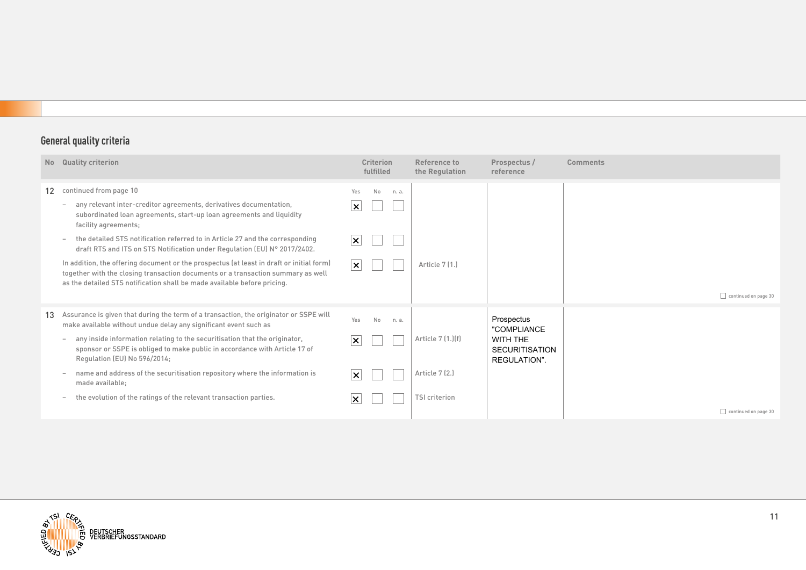|                  | No Quality criterion                                                                                                                                                                                                                                                                                                                                                                                                                                                                                                                                                   | <b>Criterion</b><br>fulfilled                                                                                   | Reference to<br>the Regulation                               | Prospectus /<br>reference                                                      | Comments             |
|------------------|------------------------------------------------------------------------------------------------------------------------------------------------------------------------------------------------------------------------------------------------------------------------------------------------------------------------------------------------------------------------------------------------------------------------------------------------------------------------------------------------------------------------------------------------------------------------|-----------------------------------------------------------------------------------------------------------------|--------------------------------------------------------------|--------------------------------------------------------------------------------|----------------------|
| 12 <sup>12</sup> | continued from page 10<br>any relevant inter-creditor agreements, derivatives documentation,<br>$\overline{\phantom{a}}$<br>subordinated loan agreements, start-up loan agreements and liquidity<br>facility agreements;<br>the detailed STS notification referred to in Article 27 and the corresponding<br>draft RTS and ITS on STS Notification under Requlation (EU) N° 2017/2402.<br>In addition, the offering document or the prospectus (at least in draft or initial form)<br>together with the closing transaction documents or a transaction summary as well | No<br>Yes<br>n. a.<br>$ \boldsymbol{\mathsf{x}} $<br>$ \boldsymbol{\mathsf{x}} $<br>$ \boldsymbol{\mathsf{x}} $ | Article 7 (1.)                                               |                                                                                |                      |
|                  | as the detailed STS notification shall be made available before pricing.                                                                                                                                                                                                                                                                                                                                                                                                                                                                                               |                                                                                                                 |                                                              |                                                                                | continued on page 30 |
| 13               | Assurance is given that during the term of a transaction, the originator or SSPE will<br>make available without undue delay any significant event such as<br>any inside information relating to the securitisation that the originator,<br>sponsor or SSPE is obliged to make public in accordance with Article 17 of<br>Regulation (EU) No 596/2014;<br>name and address of the securitisation repository where the information is<br>made available;<br>the evolution of the ratings of the relevant transaction parties.                                            | Yes<br>No<br>n. a.<br>$ \boldsymbol{\mathsf{x}} $<br>$ \boldsymbol{\mathsf{x}} $<br>$ \boldsymbol{\times} $     | Article 7 (1.) [f]<br>Article 7 (2.)<br><b>TSI criterion</b> | Prospectus<br>"COMPLIANCE<br>WITH THE<br><b>SECURITISATION</b><br>REGULATION". |                      |
|                  |                                                                                                                                                                                                                                                                                                                                                                                                                                                                                                                                                                        |                                                                                                                 |                                                              |                                                                                | continued on page 30 |

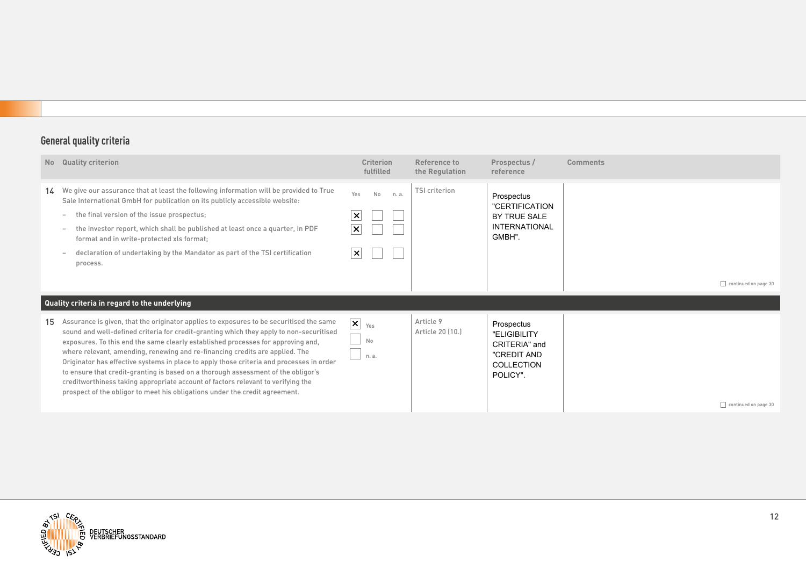|    | No Quality criterion                                                                                                                                                                                                                                                                                                                                                                                                                                                                                                                                                                                                                                                                                       | <b>Criterion</b><br>fulfilled                                        | Reference to<br>the Regulation | Prospectus /<br>reference                                                                   | Comments             |
|----|------------------------------------------------------------------------------------------------------------------------------------------------------------------------------------------------------------------------------------------------------------------------------------------------------------------------------------------------------------------------------------------------------------------------------------------------------------------------------------------------------------------------------------------------------------------------------------------------------------------------------------------------------------------------------------------------------------|----------------------------------------------------------------------|--------------------------------|---------------------------------------------------------------------------------------------|----------------------|
|    | 14 We give our assurance that at least the following information will be provided to True<br>Sale International GmbH for publication on its publicly accessible website:<br>the final version of the issue prospectus;<br>$\overline{\phantom{0}}$<br>the investor report, which shall be published at least once a quarter, in PDF<br>$\overline{\phantom{a}}$<br>format and in write-protected xls format;<br>declaration of undertaking by the Mandator as part of the TSI certification<br>process.                                                                                                                                                                                                    | Yes<br>No<br>n. a.<br>$\times$<br>$\vert x \vert$<br>$\vert x \vert$ | <b>TSI</b> criterion           | Prospectus<br>"CERTIFICATION<br>BY TRUE SALE<br><b>INTERNATIONAL</b><br>GMBH".              |                      |
|    |                                                                                                                                                                                                                                                                                                                                                                                                                                                                                                                                                                                                                                                                                                            |                                                                      |                                |                                                                                             | continued on page 30 |
|    | Quality criteria in regard to the underlying                                                                                                                                                                                                                                                                                                                                                                                                                                                                                                                                                                                                                                                               |                                                                      |                                |                                                                                             |                      |
| 15 | Assurance is given, that the originator applies to exposures to be securitised the same<br>sound and well-defined criteria for credit-granting which they apply to non-securitised<br>exposures. To this end the same clearly established processes for approving and,<br>where relevant, amending, renewing and re-financing credits are applied. The<br>Originator has effective systems in place to apply those criteria and processes in order<br>to ensure that credit-granting is based on a thorough assessment of the obligor's<br>creditworthiness taking appropriate account of factors relevant to verifying the<br>prospect of the obligor to meet his obligations under the credit agreement. | $\vert x \vert$<br>Yes<br>No<br>n. a.                                | Article 9<br>Article 20 (10.)  | Prospectus<br>"ELIGIBILITY<br>CRITERIA" and<br>"CREDIT AND<br><b>COLLECTION</b><br>POLICY". | continued on page 30 |

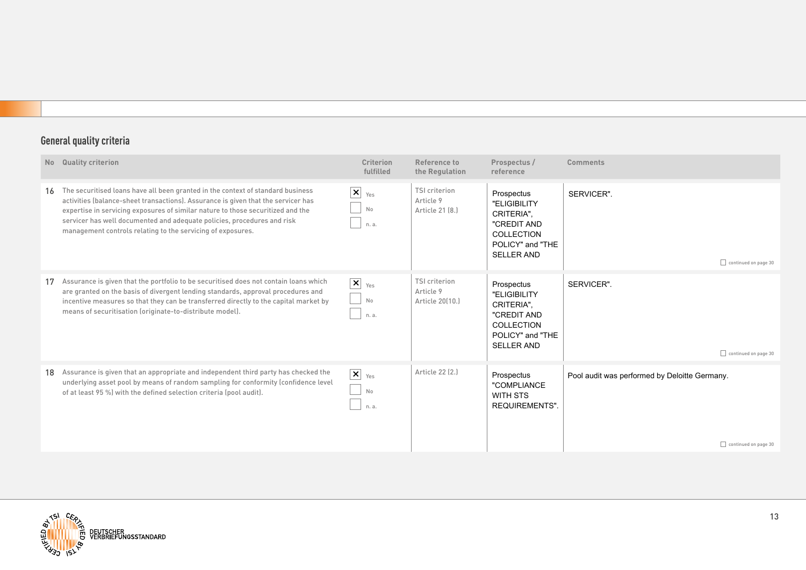| No Quality criterion                                                                                                                                                                                                                                                                                                                                                                                 | <b>Criterion</b><br>fulfilled                          | Reference to<br>the Regulation                       | Prospectus /<br>reference                                                                                      | <b>Comments</b>                                                       |
|------------------------------------------------------------------------------------------------------------------------------------------------------------------------------------------------------------------------------------------------------------------------------------------------------------------------------------------------------------------------------------------------------|--------------------------------------------------------|------------------------------------------------------|----------------------------------------------------------------------------------------------------------------|-----------------------------------------------------------------------|
| 16 The securitised loans have all been granted in the context of standard business<br>activities (balance-sheet transactions). Assurance is given that the servicer has<br>expertise in servicing exposures of similar nature to those securitized and the<br>servicer has well documented and adequate policies, procedures and risk<br>management controls relating to the servicing of exposures. | $\mathbf{X}$ $_{\text{Yes}}$<br>No<br>n. a.            | <b>TSI criterion</b><br>Article 9<br>Article 21 [8.] | Prospectus<br>"ELIGIBILITY<br>CRITERIA".<br>"CREDIT AND<br>COLLECTION<br>POLICY" and "THE<br><b>SELLER AND</b> | SERVICER".<br>continued on page 30                                    |
| Assurance is given that the portfolio to be securitised does not contain loans which<br>are granted on the basis of divergent lending standards, approval procedures and<br>incentive measures so that they can be transferred directly to the capital market by<br>means of securitisation (originate-to-distribute model).                                                                         | $\boxed{\mathsf{x}}$<br>Yes<br>No<br>n. a.             | TSI criterion<br>Article 9<br>Article 20(10.)        | Prospectus<br>"ELIGIBILITY<br>CRITERIA",<br>"CREDIT AND<br>COLLECTION<br>POLICY" and "THE<br><b>SELLER AND</b> | SERVICER".<br>continued on page 30                                    |
| 18 Assurance is given that an appropriate and independent third party has checked the<br>underlying asset pool by means of random sampling for conformity (confidence level<br>of at least 95 %) with the defined selection criteria (pool audit).                                                                                                                                                   | $\overline{\mathbf{x}}$ $_{\text{Yes}}$<br>No<br>n. a. | Article 22 (2.)                                      | Prospectus<br>"COMPLIANCE<br>WITH STS<br><b>REQUIREMENTS".</b>                                                 | Pool audit was performed by Deloitte Germany.<br>continued on page 30 |

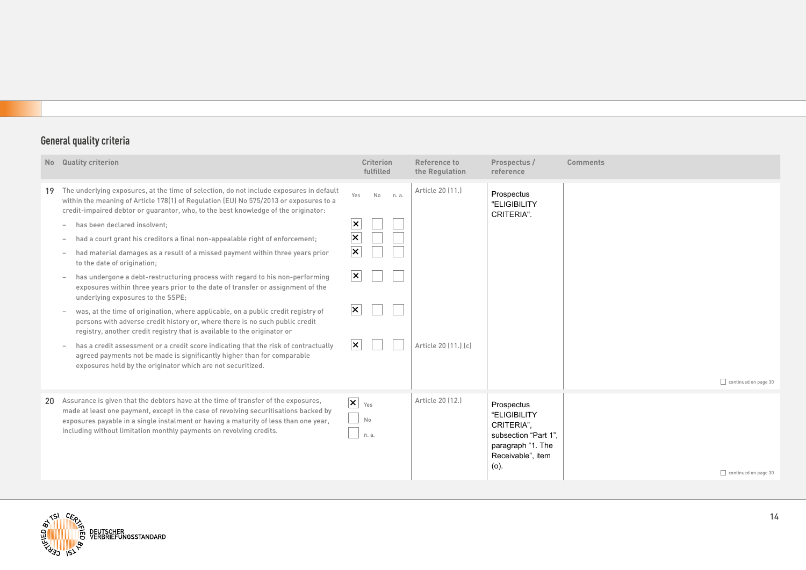|    | No Quality criterion                                                                                                                                                                                                                                                                                                                                                                                                                                                                                                                                                                                                                                                                                                                                                                                                                                                                                                                                                                                                                                                                                                                                                                                                                                                                                             | <b>Criterion</b><br>fulfilled                                                                                                                                            | Reference to<br>the Regulation           | Prospectus /<br>reference                                                                                          | <b>Comments</b>      |
|----|------------------------------------------------------------------------------------------------------------------------------------------------------------------------------------------------------------------------------------------------------------------------------------------------------------------------------------------------------------------------------------------------------------------------------------------------------------------------------------------------------------------------------------------------------------------------------------------------------------------------------------------------------------------------------------------------------------------------------------------------------------------------------------------------------------------------------------------------------------------------------------------------------------------------------------------------------------------------------------------------------------------------------------------------------------------------------------------------------------------------------------------------------------------------------------------------------------------------------------------------------------------------------------------------------------------|--------------------------------------------------------------------------------------------------------------------------------------------------------------------------|------------------------------------------|--------------------------------------------------------------------------------------------------------------------|----------------------|
| 19 | The underlying exposures, at the time of selection, do not include exposures in default<br>within the meaning of Article 178(1) of Regulation (EU) No 575/2013 or exposures to a<br>credit-impaired debtor or quarantor, who, to the best knowledge of the originator:<br>has been declared insolvent;<br>$\overline{\phantom{a}}$<br>had a court grant his creditors a final non-appealable right of enforcement;<br>$\overline{\phantom{a}}$<br>had material damages as a result of a missed payment within three years prior<br>to the date of origination;<br>has undergone a debt-restructuring process with regard to his non-performing<br>$\overline{\phantom{a}}$<br>exposures within three years prior to the date of transfer or assignment of the<br>underlying exposures to the SSPE;<br>was, at the time of origination, where applicable, on a public credit registry of<br>persons with adverse credit history or, where there is no such public credit<br>registry, another credit registry that is available to the originator or<br>has a credit assessment or a credit score indicating that the risk of contractually<br>$\overline{\phantom{a}}$<br>agreed payments not be made is significantly higher than for comparable<br>exposures held by the originator which are not securitized. | Yes<br>No<br>n. a.<br>$\boldsymbol{\mathsf{x}}$<br>$\overline{\mathbf{x}}$<br>$\overline{\mathsf{x}}$<br>$ \boldsymbol{\mathsf{x}} $<br>$ \mathsf{x} $<br>$ \mathsf{x} $ | Article 20 (11.)<br>Article 20 [11.] [c] | Prospectus<br>"ELIGIBILITY<br>CRITERIA".                                                                           | continued on page 30 |
| 20 | Assurance is given that the debtors have at the time of transfer of the exposures,<br>made at least one payment, except in the case of revolving securitisations backed by<br>exposures payable in a single instalment or having a maturity of less than one year,<br>including without limitation monthly payments on revolving credits.                                                                                                                                                                                                                                                                                                                                                                                                                                                                                                                                                                                                                                                                                                                                                                                                                                                                                                                                                                        | $\overline{\mathbf{x}}$ $_{\text{Yes}}$<br>No<br>n. a.                                                                                                                   | Article 20 (12.)                         | Prospectus<br>"ELIGIBILITY<br>CRITERIA",<br>subsection "Part 1",<br>paragraph "1. The<br>Receivable", item<br>(o). | continued on page 30 |

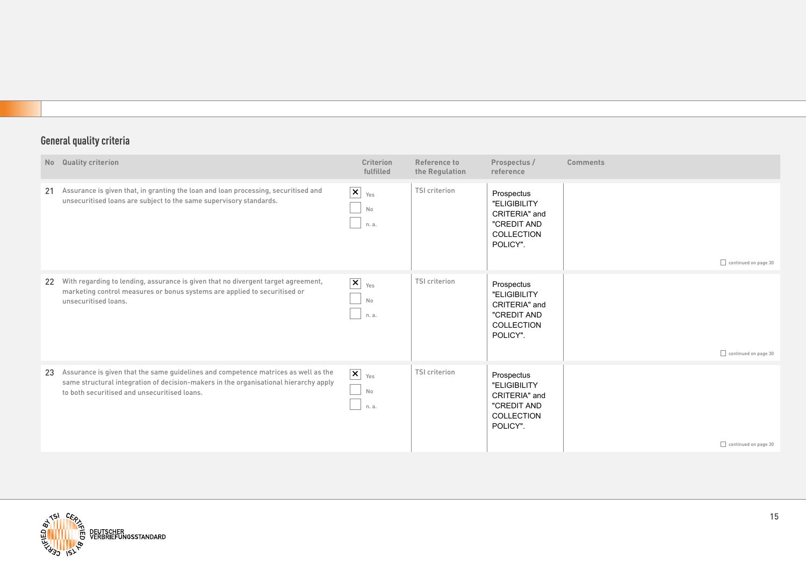|    | No Quality criterion                                                                                                                                                                                                       | <b>Criterion</b><br>fulfilled                | Reference to<br>the Regulation | Prospectus /<br>reference                                                            | <b>Comments</b>      |
|----|----------------------------------------------------------------------------------------------------------------------------------------------------------------------------------------------------------------------------|----------------------------------------------|--------------------------------|--------------------------------------------------------------------------------------|----------------------|
| 21 | Assurance is given that, in granting the loan and loan processing, securitised and<br>unsecuritised loans are subject to the same supervisory standards.                                                                   | $\vert x \vert$<br>Yes<br>No<br>n. a.        | <b>TSI criterion</b>           | Prospectus<br>"ELIGIBILITY<br>CRITERIA" and<br>"CREDIT AND<br>COLLECTION<br>POLICY". | continued on page 30 |
|    | 22 With regarding to lending, assurance is given that no divergent target agreement,<br>marketing control measures or bonus systems are applied to securitised or<br>unsecuritised loans.                                  | $\boxed{\mathsf{x}}$<br>Yes<br>No<br>n. a.   | <b>TSI criterion</b>           | Prospectus<br>"ELIGIBILITY<br>CRITERIA" and<br>"CREDIT AND<br>COLLECTION<br>POLICY". | continued on page 30 |
| 23 | Assurance is given that the same quidelines and competence matrices as well as the<br>same structural integration of decision-makers in the organisational hierarchy apply<br>to both securitised and unsecuritised loans. | $\vert\mathsf{x}\vert$<br>Yes<br>No<br>n. a. | <b>TSI criterion</b>           | Prospectus<br>"ELIGIBILITY<br>CRITERIA" and<br>"CREDIT AND<br>COLLECTION<br>POLICY". | continued on page 30 |

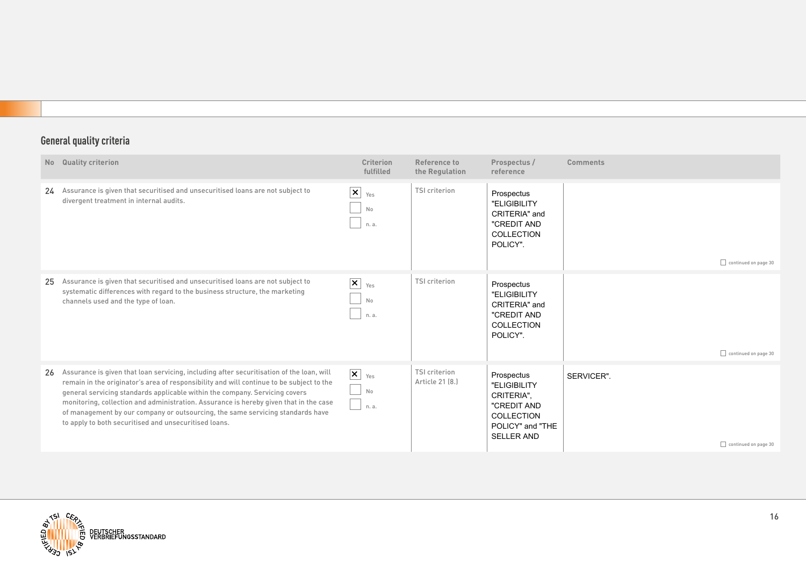|    | No Quality criterion                                                                                                                                                                                                                                                                                                                                                                                                                                                                                    | Criterion<br>fulfilled                        | Reference to<br>the Regulation          | Prospectus /<br>reference                                                                                      | <b>Comments</b> |                             |
|----|---------------------------------------------------------------------------------------------------------------------------------------------------------------------------------------------------------------------------------------------------------------------------------------------------------------------------------------------------------------------------------------------------------------------------------------------------------------------------------------------------------|-----------------------------------------------|-----------------------------------------|----------------------------------------------------------------------------------------------------------------|-----------------|-----------------------------|
|    | 24 Assurance is given that securitised and unsecuritised loans are not subject to<br>divergent treatment in internal audits.                                                                                                                                                                                                                                                                                                                                                                            | $\overline{\mathbf{x}}$<br>Yes<br>No<br>n. a. | TSI criterion                           | Prospectus<br>"ELIGIBILITY<br>CRITERIA" and<br>"CREDIT AND<br>COLLECTION<br>POLICY".                           |                 | continued on page 30        |
| 25 | Assurance is given that securitised and unsecuritised loans are not subject to<br>systematic differences with regard to the business structure, the marketing<br>channels used and the type of loan.                                                                                                                                                                                                                                                                                                    | $\vert x \vert$<br>Yes<br>No<br>n. a.         | TSI criterion                           | Prospectus<br>"ELIGIBILITY<br>CRITERIA" and<br>"CREDIT AND<br>COLLECTION<br>POLICY".                           |                 | $\Box$ continued on page 30 |
| 26 | Assurance is given that loan servicing, including after securitisation of the loan, will<br>remain in the originator's area of responsibility and will continue to be subject to the<br>general servicing standards applicable within the company. Servicing covers<br>monitoring, collection and administration. Assurance is hereby given that in the case<br>of management by our company or outsourcing, the same servicing standards have<br>to apply to both securitised and unsecuritised loans. | $\vert x \vert$<br>Yes<br>No<br>n. a.         | <b>TSI criterion</b><br>Article 21 (8.) | Prospectus<br>"ELIGIBILITY<br>CRITERIA",<br>"CREDIT AND<br>COLLECTION<br>POLICY" and "THE<br><b>SELLER AND</b> | SERVICER".      | continued on page 30        |

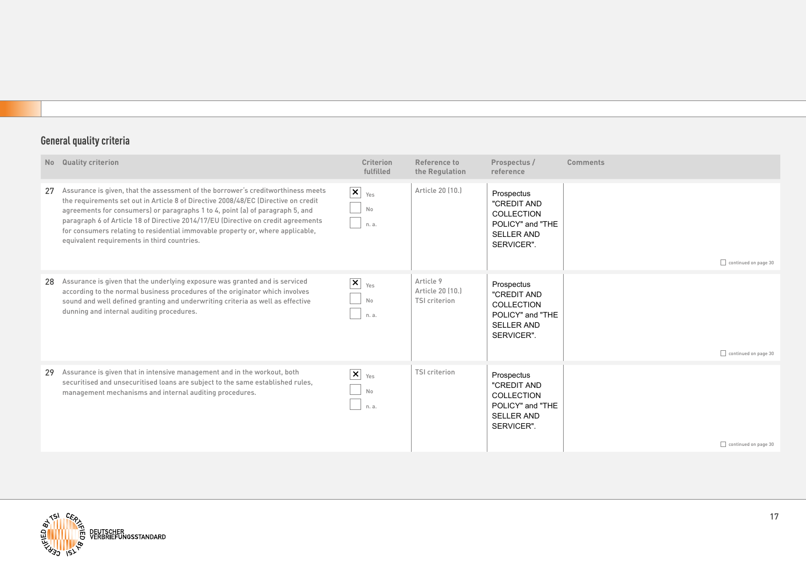|    | No Quality criterion                                                                                                                                                                                                                                                                                                                                                                                                                                                          | <b>Criterion</b><br>fulfilled              | Reference to<br>the Regulation                        | Prospectus /<br>reference                                                                      | <b>Comments</b>      |
|----|-------------------------------------------------------------------------------------------------------------------------------------------------------------------------------------------------------------------------------------------------------------------------------------------------------------------------------------------------------------------------------------------------------------------------------------------------------------------------------|--------------------------------------------|-------------------------------------------------------|------------------------------------------------------------------------------------------------|----------------------|
| 27 | Assurance is given, that the assessment of the borrower's creditworthiness meets<br>the requirements set out in Article 8 of Directive 2008/48/EC (Directive on credit<br>agreements for consumers) or paragraphs 1 to 4, point (a) of paragraph 5, and<br>paragraph 6 of Article 18 of Directive 2014/17/EU (Directive on credit agreements<br>for consumers relating to residential immovable property or, where applicable,<br>equivalent requirements in third countries. | $\boxed{\mathsf{x}}$<br>Yes<br>No<br>n. a. | Article 20 (10.)                                      | Prospectus<br>"CREDIT AND<br>COLLECTION<br>POLICY" and "THE<br><b>SELLER AND</b><br>SERVICER". | continued on page 30 |
| 28 | Assurance is given that the underlying exposure was granted and is serviced<br>according to the normal business procedures of the originator which involves<br>sound and well defined granting and underwriting criteria as well as effective<br>dunning and internal auditing procedures.                                                                                                                                                                                    | $\mathbf{x}$<br>Yes<br>No<br>n. a.         | Article 9<br>Article 20 (10.)<br><b>TSI criterion</b> | Prospectus<br>"CREDIT AND<br>COLLECTION<br>POLICY" and "THE<br><b>SELLER AND</b><br>SERVICER". | continued on page 30 |
| 29 | Assurance is given that in intensive management and in the workout, both<br>securitised and unsecuritised loans are subject to the same established rules,<br>management mechanisms and internal auditing procedures.                                                                                                                                                                                                                                                         | $\vert x \vert$<br>Yes<br>No<br>n. a.      | <b>TSI criterion</b>                                  | Prospectus<br>"CREDIT AND<br>COLLECTION<br>POLICY" and "THE<br><b>SELLER AND</b><br>SERVICER". | continued on page 30 |

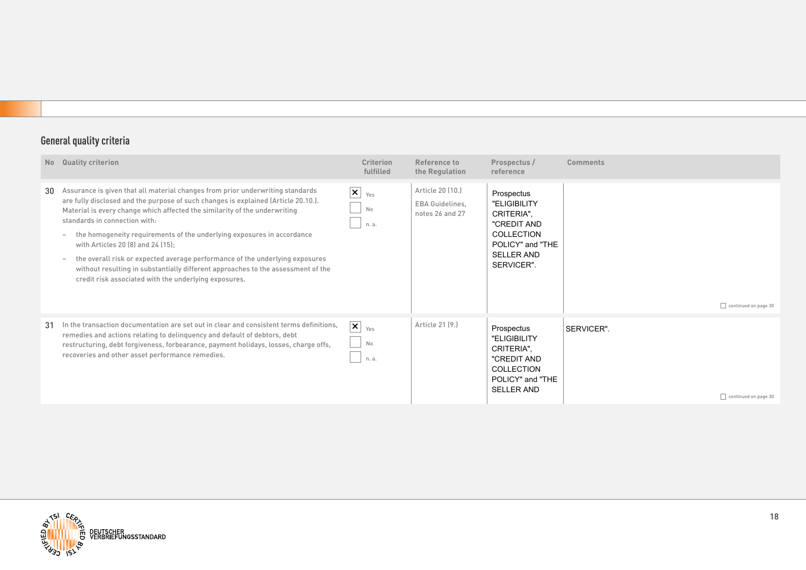| N <sub>o</sub> | <b>Quality criterion</b>                                                                                                                                                                                                                                                                                                                                                                                                                                                                                                                                                                                                                                                                | <b>Criterion</b><br>fulfilled                          | Reference to<br>the Regulation                                | Prospectus /<br>reference                                                                                                    | <b>Comments</b>                    |
|----------------|-----------------------------------------------------------------------------------------------------------------------------------------------------------------------------------------------------------------------------------------------------------------------------------------------------------------------------------------------------------------------------------------------------------------------------------------------------------------------------------------------------------------------------------------------------------------------------------------------------------------------------------------------------------------------------------------|--------------------------------------------------------|---------------------------------------------------------------|------------------------------------------------------------------------------------------------------------------------------|------------------------------------|
| 30             | Assurance is given that all material changes from prior underwriting standards<br>are fully disclosed and the purpose of such changes is explained (Article 20.10.).<br>Material is every change which affected the similarity of the underwriting<br>standards in connection with:<br>the homogeneity requirements of the underlying exposures in accordance<br>$\overline{\phantom{0}}$<br>with Articles 20 (8) and 24 (15);<br>the overall risk or expected average performance of the underlying exposures<br>$\overline{\phantom{a}}$<br>without resulting in substantially different approaches to the assessment of the<br>credit risk associated with the underlying exposures. | $\overline{\mathbf{X}}$ $_{\text{Yes}}$<br>No<br>n. a. | Article 20 (10.)<br><b>EBA Guidelines.</b><br>notes 26 and 27 | Prospectus<br>"ELIGIBILITY<br>CRITERIA".<br>"CREDIT AND<br>COLLECTION<br>POLICY" and "THE<br><b>SELLER AND</b><br>SERVICER". | continued on page 30               |
| 31             | In the transaction documentation are set out in clear and consistent terms definitions,<br>remedies and actions relating to delinguency and default of debtors, debt<br>restructuring, debt forgiveness, forbearance, payment holidays, losses, charge offs,<br>recoveries and other asset performance remedies.                                                                                                                                                                                                                                                                                                                                                                        | $ \mathsf{x} $<br>Yes<br>No<br>n. a.                   | Article 21 [9.]                                               | Prospectus<br>"ELIGIBILITY<br>CRITERIA",<br>"CREDIT AND<br>COLLECTION<br>POLICY" and "THE<br><b>SELLER AND</b>               | SERVICER".<br>continued on page 30 |

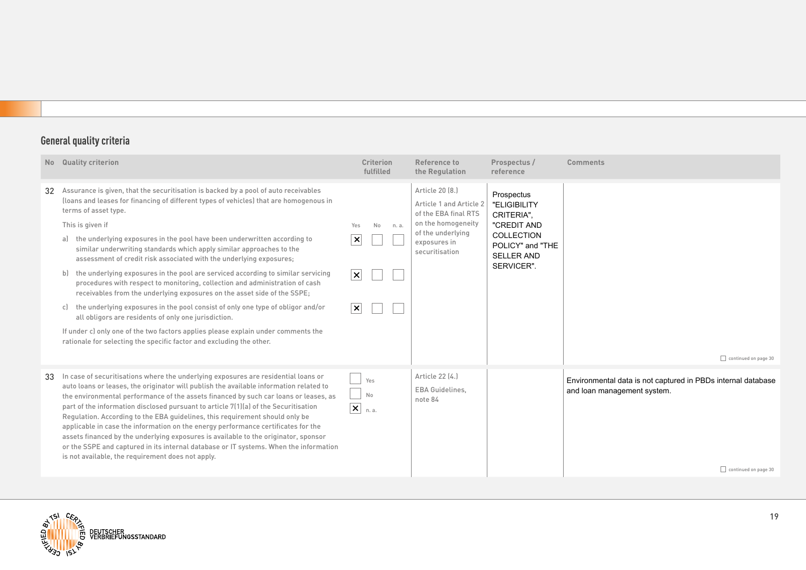| <b>No</b> | <b>Quality criterion</b>                                                                                                                                                                                                                                                                                                                                                                                                                                                                                                                                                                                                                                                                                                                                                                                                                                                                                                                                                                                                                 | <b>Criterion</b><br>fulfilled                                                             | Reference to<br>the Regulation                                                                                                                  | Prospectus /<br>reference                                                                                                    | <b>Comments</b>                                                                                                     |
|-----------|------------------------------------------------------------------------------------------------------------------------------------------------------------------------------------------------------------------------------------------------------------------------------------------------------------------------------------------------------------------------------------------------------------------------------------------------------------------------------------------------------------------------------------------------------------------------------------------------------------------------------------------------------------------------------------------------------------------------------------------------------------------------------------------------------------------------------------------------------------------------------------------------------------------------------------------------------------------------------------------------------------------------------------------|-------------------------------------------------------------------------------------------|-------------------------------------------------------------------------------------------------------------------------------------------------|------------------------------------------------------------------------------------------------------------------------------|---------------------------------------------------------------------------------------------------------------------|
| 32        | Assurance is given, that the securitisation is backed by a pool of auto receivables<br>(loans and leases for financing of different types of vehicles) that are homogenous in<br>terms of asset type.<br>This is given if<br>the underlying exposures in the pool have been underwritten according to<br>al<br>similar underwriting standards which apply similar approaches to the<br>assessment of credit risk associated with the underlying exposures;<br>the underlying exposures in the pool are serviced according to similar servicing<br>$\mathsf{b}$<br>procedures with respect to monitoring, collection and administration of cash<br>receivables from the underlying exposures on the asset side of the SSPE;<br>the underlying exposures in the pool consist of only one type of obligor and/or<br>c)<br>all obligors are residents of only one jurisdiction.<br>If under c) only one of the two factors applies please explain under comments the<br>rationale for selecting the specific factor and excluding the other. | <b>No</b><br>Yes<br>n. a.<br>$\vert x \vert$<br>$ \boldsymbol{\mathsf{x}} $<br>$ \times $ | Article 20 (8.)<br>Article 1 and Article 2<br>of the EBA final RTS<br>on the homogeneity<br>of the underlying<br>exposures in<br>securitisation | Prospectus<br>"ELIGIBILITY<br>CRITERIA".<br>"CREDIT AND<br>COLLECTION<br>POLICY" and "THE<br><b>SELLER AND</b><br>SERVICER". | continued on page 30                                                                                                |
| 33        | In case of securitisations where the underlying exposures are residential loans or<br>auto loans or leases, the originator will publish the available information related to<br>the environmental performance of the assets financed by such car loans or leases, as<br>part of the information disclosed pursuant to article 7(1)(a) of the Securitisation<br>Regulation. According to the EBA guidelines, this requirement should only be<br>applicable in case the information on the energy performance certificates for the<br>assets financed by the underlying exposures is available to the originator, sponsor<br>or the SSPE and captured in its internal database or IT systems. When the information<br>is not available, the requirement does not apply.                                                                                                                                                                                                                                                                    | Yes<br>No<br>$ \mathbf{x} _{\text{n.a.}}$                                                 | Article 22 (4.)<br><b>EBA Guidelines,</b><br>note 84                                                                                            |                                                                                                                              | Environmental data is not captured in PBDs internal database<br>and loan management system.<br>continued on page 30 |

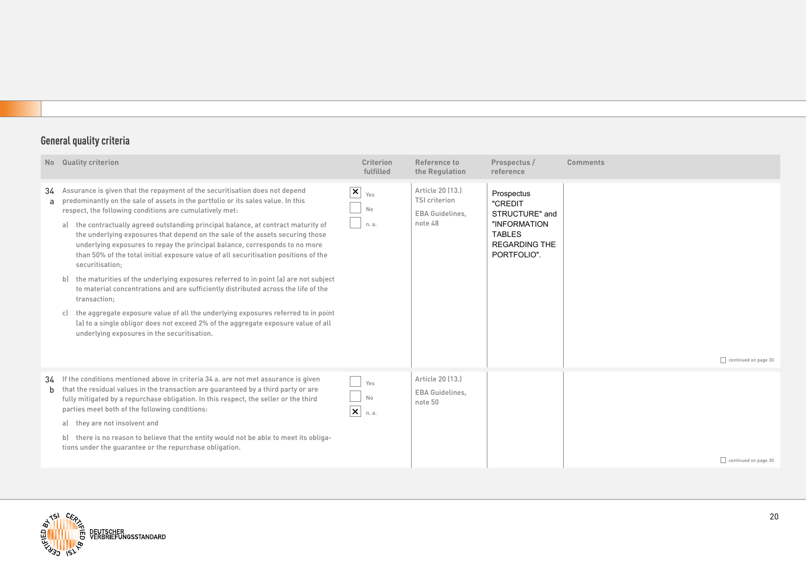|              | No Quality criterion                                                                                                                                                                                                                                                                                                                                                                                                                                                                                                                                                                                                                                                                                                                                                                                                                                                                                                                                                                                                        | <b>Criterion</b><br>fulfilled                | Reference to<br>the Regulation                                         | Prospectus /<br>reference                                                                                       | <b>Comments</b>      |
|--------------|-----------------------------------------------------------------------------------------------------------------------------------------------------------------------------------------------------------------------------------------------------------------------------------------------------------------------------------------------------------------------------------------------------------------------------------------------------------------------------------------------------------------------------------------------------------------------------------------------------------------------------------------------------------------------------------------------------------------------------------------------------------------------------------------------------------------------------------------------------------------------------------------------------------------------------------------------------------------------------------------------------------------------------|----------------------------------------------|------------------------------------------------------------------------|-----------------------------------------------------------------------------------------------------------------|----------------------|
| 34<br>a.     | Assurance is given that the repayment of the securitisation does not depend<br>predominantly on the sale of assets in the portfolio or its sales value. In this<br>respect, the following conditions are cumulatively met:<br>a) the contractually agreed outstanding principal balance, at contract maturity of<br>the underlying exposures that depend on the sale of the assets securing those<br>underlying exposures to repay the principal balance, corresponds to no more<br>than 50% of the total initial exposure value of all securitisation positions of the<br>securitisation;<br>the maturities of the underlying exposures referred to in point (a) are not subject<br>b<br>to material concentrations and are sufficiently distributed across the life of the<br>transaction:<br>the aggregate exposure value of all the underlying exposures referred to in point<br>c)<br>(a) to a single obligor does not exceed 2% of the aggregate exposure value of all<br>underlying exposures in the securitisation. | $\vert\mathsf{x}\vert$<br>Yes<br>No<br>n. a. | Article 20 [13.]<br><b>TSI criterion</b><br>EBA Guidelines,<br>note 48 | Prospectus<br>"CREDIT<br>STRUCTURE" and<br>"INFORMATION<br><b>TABLES</b><br><b>REGARDING THE</b><br>PORTFOLIO". | continued on page 30 |
| <sub>b</sub> | 34 If the conditions mentioned above in criteria 34 a. are not met assurance is given<br>that the residual values in the transaction are guaranteed by a third party or are<br>fully mitigated by a repurchase obligation. In this respect, the seller or the third<br>parties meet both of the following conditions:<br>they are not insolvent and<br>a)<br>there is no reason to believe that the entity would not be able to meet its obliga-<br>tions under the quarantee or the repurchase obligation.                                                                                                                                                                                                                                                                                                                                                                                                                                                                                                                 | Yes<br>No<br>$ \mathsf{x} $<br>n. a.         | Article 20 [13.]<br><b>EBA Guidelines,</b><br>note 50                  |                                                                                                                 | continued on page 30 |

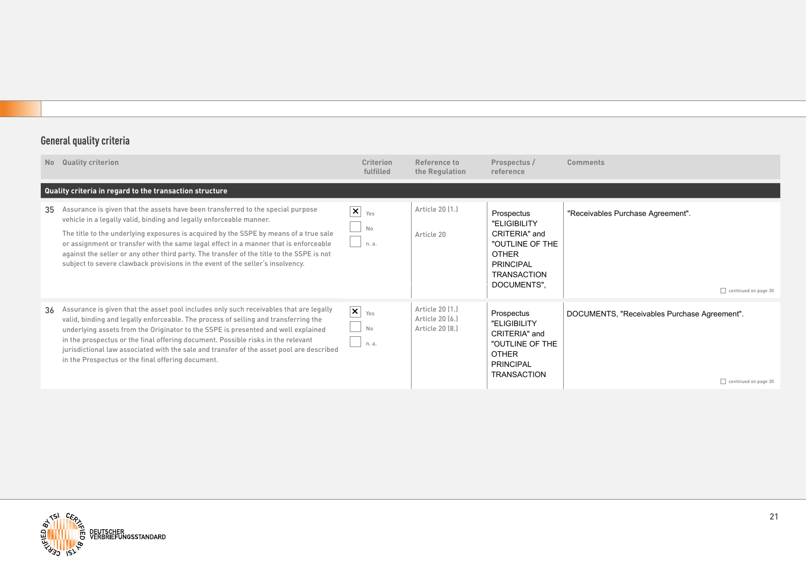|    | No Quality criterion                                                                                                                                                                                                                                                                                                                                                                                                                                                                                                   | Criterion<br>fulfilled                | Reference to<br>the Regulation                        | Prospectus /<br>reference                                                                                                               | Comments                                                             |
|----|------------------------------------------------------------------------------------------------------------------------------------------------------------------------------------------------------------------------------------------------------------------------------------------------------------------------------------------------------------------------------------------------------------------------------------------------------------------------------------------------------------------------|---------------------------------------|-------------------------------------------------------|-----------------------------------------------------------------------------------------------------------------------------------------|----------------------------------------------------------------------|
|    | Quality criteria in regard to the transaction structure                                                                                                                                                                                                                                                                                                                                                                                                                                                                |                                       |                                                       |                                                                                                                                         |                                                                      |
| 35 | Assurance is given that the assets have been transferred to the special purpose<br>vehicle in a legally valid, binding and legally enforceable manner.<br>The title to the underlying exposures is acquired by the SSPE by means of a true sale<br>or assignment or transfer with the same legal effect in a manner that is enforceable<br>against the seller or any other third party. The transfer of the title to the SSPE is not<br>subject to severe clawback provisions in the event of the seller's insolvency. | $\vert x \vert$<br>Yes<br>No<br>n. a. | Article 20 (1.)<br>Article 20                         | Prospectus<br>"ELIGIBILITY<br>CRITERIA" and<br>"OUTLINE OF THE<br><b>OTHER</b><br><b>PRINCIPAL</b><br><b>TRANSACTION</b><br>DOCUMENTS", | "Receivables Purchase Agreement".<br>continued on page 30            |
| 36 | Assurance is given that the asset pool includes only such receivables that are legally<br>valid, binding and legally enforceable. The process of selling and transferring the<br>underlying assets from the Originator to the SSPE is presented and well explained<br>in the prospectus or the final offering document. Possible risks in the relevant<br>jurisdictional law associated with the sale and transfer of the asset pool are described<br>in the Prospectus or the final offering document.                | $\vert x \vert$<br>Yes<br>No<br>n. a. | Article 20 (1.)<br>Article 20 (6.)<br>Article 20 (8.) | Prospectus<br>"ELIGIBILITY<br>CRITERIA" and<br>"OUTLINE OF THE<br><b>OTHER</b><br><b>PRINCIPAL</b><br><b>TRANSACTION</b>                | DOCUMENTS, "Receivables Purchase Agreement".<br>continued on page 30 |

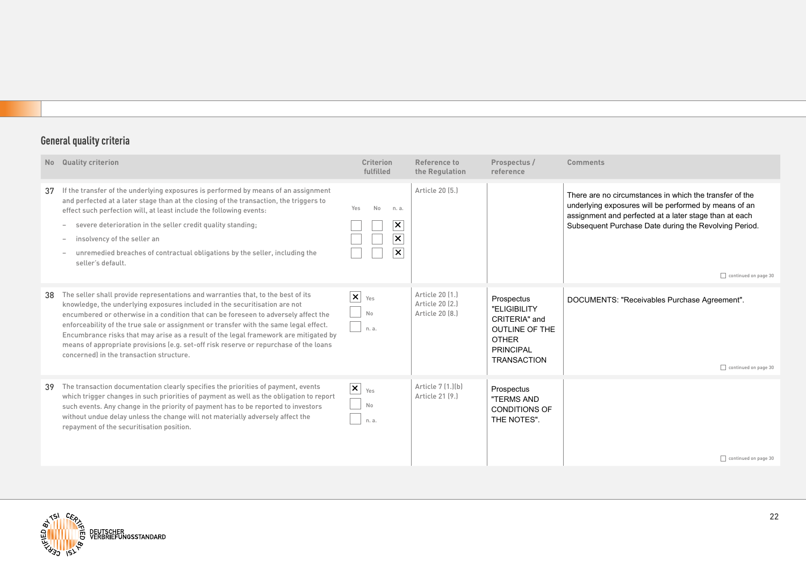|    | No Quality criterion                                                                                                                                                                                                                                                                                                                                                                                                                                                                                                                                                        | <b>Criterion</b><br>fulfilled                                                                                  | Reference to<br>the Regulation                        | Prospectus /<br>reference                                                                                                      | <b>Comments</b>                                                                                                                                                                                                                                             |
|----|-----------------------------------------------------------------------------------------------------------------------------------------------------------------------------------------------------------------------------------------------------------------------------------------------------------------------------------------------------------------------------------------------------------------------------------------------------------------------------------------------------------------------------------------------------------------------------|----------------------------------------------------------------------------------------------------------------|-------------------------------------------------------|--------------------------------------------------------------------------------------------------------------------------------|-------------------------------------------------------------------------------------------------------------------------------------------------------------------------------------------------------------------------------------------------------------|
|    | 37 If the transfer of the underlying exposures is performed by means of an assignment<br>and perfected at a later stage than at the closing of the transaction, the triggers to<br>effect such perfection will, at least include the following events:<br>severe deterioration in the seller credit quality standing;<br>$\overline{\phantom{a}}$<br>insolvency of the seller an<br>$\overline{\phantom{a}}$<br>unremedied breaches of contractual obligations by the seller, including the<br>$\overline{\phantom{a}}$<br>seller's default.                                | No<br>Yes<br>n. a.<br>$\boldsymbol{\mathsf{x}}$<br>$\boldsymbol{\mathsf{x}}$ $\mid$<br>$\overline{\mathsf{x}}$ | Article 20 (5.)                                       |                                                                                                                                | There are no circumstances in which the transfer of the<br>underlying exposures will be performed by means of an<br>assignment and perfected at a later stage than at each<br>Subsequent Purchase Date during the Revolving Period.<br>continued on page 30 |
| 38 | The seller shall provide representations and warranties that, to the best of its<br>knowledge, the underlying exposures included in the securitisation are not<br>encumbered or otherwise in a condition that can be foreseen to adversely affect the<br>enforceability of the true sale or assignment or transfer with the same legal effect.<br>Encumbrance risks that may arise as a result of the legal framework are mitigated by<br>means of appropriate provisions (e.g. set-off risk reserve or repurchase of the loans<br>concerned) in the transaction structure. | $ \mathsf{x} $<br>Yes<br>No<br>n. a.                                                                           | Article 20 [1.]<br>Article 20 (2.)<br>Article 20 [8.] | Prospectus<br>"ELIGIBILITY<br>CRITERIA" and<br><b>OUTLINE OF THE</b><br><b>OTHER</b><br><b>PRINCIPAL</b><br><b>TRANSACTION</b> | DOCUMENTS: "Receivables Purchase Agreement".<br>continued on page 30                                                                                                                                                                                        |
| 39 | The transaction documentation clearly specifies the priorities of payment, events<br>which trigger changes in such priorities of payment as well as the obligation to report<br>such events. Any change in the priority of payment has to be reported to investors<br>without undue delay unless the change will not materially adversely affect the<br>repayment of the securitisation position.                                                                                                                                                                           | $\vert x \vert$<br>Yes<br>No<br>n. a.                                                                          | Article 7 (1.)(b)<br>Article 21 [9.]                  | Prospectus<br>"TERMS AND<br>CONDITIONS OF<br>THE NOTES".                                                                       | continued on page 30                                                                                                                                                                                                                                        |

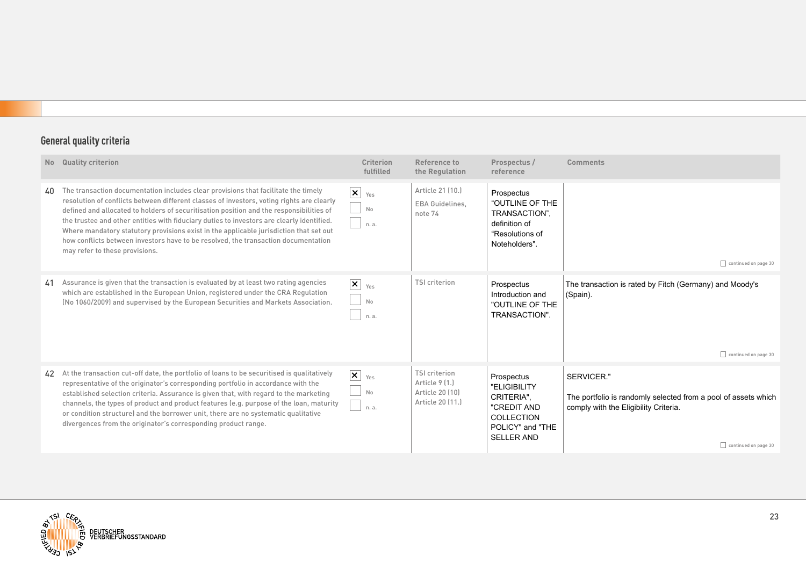| N <sub>o</sub> | <b>Quality criterion</b>                                                                                                                                                                                                                                                                                                                                                                                                                                                                                                                                                                  | <b>Criterion</b><br>fulfilled               | Reference to<br>the Regulation                                                | Prospectus /<br>reference                                                                                             | <b>Comments</b>                                                                                                                               |
|----------------|-------------------------------------------------------------------------------------------------------------------------------------------------------------------------------------------------------------------------------------------------------------------------------------------------------------------------------------------------------------------------------------------------------------------------------------------------------------------------------------------------------------------------------------------------------------------------------------------|---------------------------------------------|-------------------------------------------------------------------------------|-----------------------------------------------------------------------------------------------------------------------|-----------------------------------------------------------------------------------------------------------------------------------------------|
| 40             | The transaction documentation includes clear provisions that facilitate the timely<br>resolution of conflicts between different classes of investors, voting rights are clearly<br>defined and allocated to holders of securitisation position and the responsibilities of<br>the trustee and other entities with fiduciary duties to investors are clearly identified.<br>Where mandatory statutory provisions exist in the applicable jurisdiction that set out<br>how conflicts between investors have to be resolved, the transaction documentation<br>may refer to these provisions. | $\vert x \vert$<br>Yes<br>No<br>n. a.       | Article 21 (10.)<br>EBA Guidelines,<br>note 74                                | Prospectus<br>"OUTLINE OF THE<br>TRANSACTION",<br>definition of<br>"Resolutions of<br>Noteholders".                   | continued on page 30                                                                                                                          |
| 41             | Assurance is given that the transaction is evaluated by at least two rating agencies<br>which are established in the European Union, registered under the CRA Regulation<br>(No 1060/2009) and supervised by the European Securities and Markets Association.                                                                                                                                                                                                                                                                                                                             | $ \mathsf{x} $<br>Yes<br>No<br>n. a.        | <b>TSI</b> criterion                                                          | Prospectus<br>Introduction and<br>"OUTLINE OF THE<br>TRANSACTION".                                                    | The transaction is rated by Fitch (Germany) and Moody's<br>(Spain).<br>continued on page 30                                                   |
| 42             | At the transaction cut-off date, the portfolio of loans to be securitised is qualitatively<br>representative of the originator's corresponding portfolio in accordance with the<br>established selection criteria. Assurance is given that, with regard to the marketing<br>channels, the types of product and product features (e.g. purpose of the loan, maturity<br>or condition structure) and the borrower unit, there are no systematic qualitative<br>divergences from the originator's corresponding product range.                                                               | $\mathsf{X}$ $_{\text{Yes}}$<br>No<br>n. a. | <b>TSI criterion</b><br>Article 9 [1.]<br>Article 20 (10)<br>Article 20 (11.) | Prospectus<br>"ELIGIBILITY<br>CRITERIA".<br>"CREDIT AND<br><b>COLLECTION</b><br>POLICY" and "THE<br><b>SELLER AND</b> | SERVICER."<br>The portfolio is randomly selected from a pool of assets which<br>comply with the Eligibility Criteria.<br>continued on page 30 |

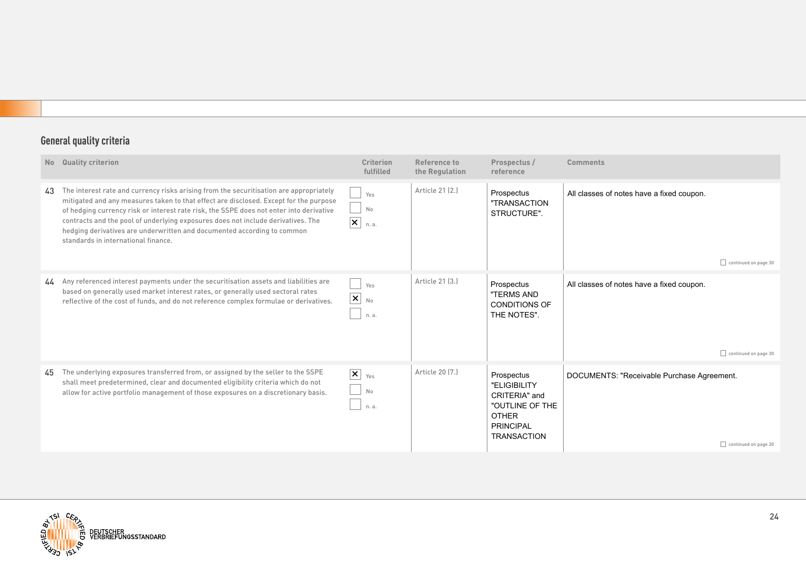| <b>No</b> | Quality criterion                                                                                                                                                                                                                                                                                                                                                                                                                                                                | <b>Criterion</b><br>fulfilled                     | Reference to<br>the Regulation | Prospectus /<br>reference                                                                                                | <b>Comments</b>                                                          |
|-----------|----------------------------------------------------------------------------------------------------------------------------------------------------------------------------------------------------------------------------------------------------------------------------------------------------------------------------------------------------------------------------------------------------------------------------------------------------------------------------------|---------------------------------------------------|--------------------------------|--------------------------------------------------------------------------------------------------------------------------|--------------------------------------------------------------------------|
| 43        | The interest rate and currency risks arising from the securitisation are appropriately<br>mitigated and any measures taken to that effect are disclosed. Except for the purpose<br>of hedging currency risk or interest rate risk, the SSPE does not enter into derivative<br>contracts and the pool of underlying exposures does not include derivatives. The<br>hedging derivatives are underwritten and documented according to common<br>standards in international finance. | Yes<br>No<br>$ \boldsymbol{\mathsf{x}} $<br>n. a. | Article 21 (2.)                | Prospectus<br>"TRANSACTION<br>STRUCTURE".                                                                                | All classes of notes have a fixed coupon.<br>continued on page 30        |
|           | 44 Any referenced interest payments under the securitisation assets and liabilities are<br>based on generally used market interest rates, or generally used sectoral rates<br>reflective of the cost of funds, and do not reference complex formulae or derivatives.                                                                                                                                                                                                             | Yes<br>$\vert x \vert$<br>No<br>n. a.             | Article 21 [3.]                | Prospectus<br>"TERMS AND<br><b>CONDITIONS OF</b><br>THE NOTES".                                                          | All classes of notes have a fixed coupon.<br>$\Box$ continued on page 30 |
| 45        | The underlying exposures transferred from, or assigned by the seller to the SSPE<br>shall meet predetermined, clear and documented eligibility criteria which do not<br>allow for active portfolio management of those exposures on a discretionary basis.                                                                                                                                                                                                                       | $\vert x \vert$<br>Yes<br>No<br>n. a.             | Article 20 [7.]                | Prospectus<br>"ELIGIBILITY<br>CRITERIA" and<br>"OUTLINE OF THE<br><b>OTHER</b><br><b>PRINCIPAL</b><br><b>TRANSACTION</b> | DOCUMENTS: "Receivable Purchase Agreement.<br>continued on page 30       |

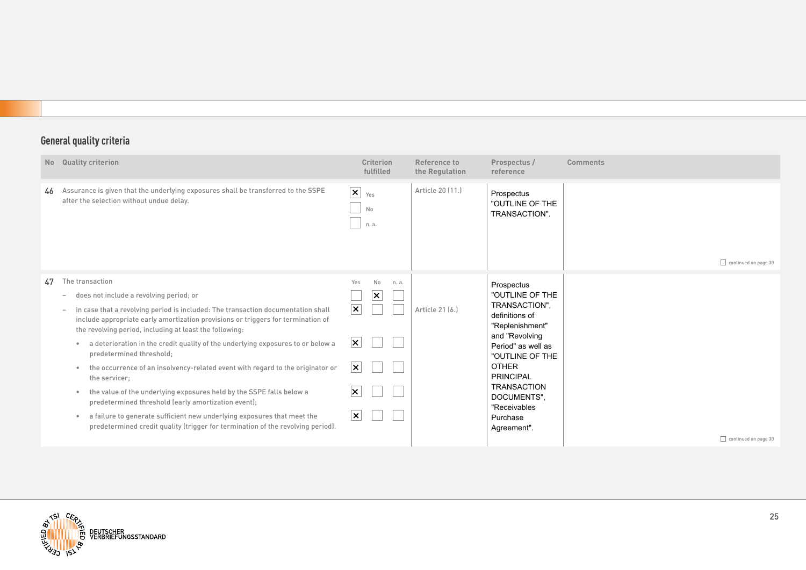|    | No Quality criterion                                                                                                                                                                                                                                                                                                                                                                                                                                                                                                                                                                                                                                                                                                                                                                                                                                                                                             |                                                                                                                                                       | <b>Criterion</b><br>fulfilled |       | Reference to<br>the Regulation | Prospectus /<br>reference                                                                                                                                                                                                                                          | <b>Comments</b>      |
|----|------------------------------------------------------------------------------------------------------------------------------------------------------------------------------------------------------------------------------------------------------------------------------------------------------------------------------------------------------------------------------------------------------------------------------------------------------------------------------------------------------------------------------------------------------------------------------------------------------------------------------------------------------------------------------------------------------------------------------------------------------------------------------------------------------------------------------------------------------------------------------------------------------------------|-------------------------------------------------------------------------------------------------------------------------------------------------------|-------------------------------|-------|--------------------------------|--------------------------------------------------------------------------------------------------------------------------------------------------------------------------------------------------------------------------------------------------------------------|----------------------|
| 46 | Assurance is given that the underlying exposures shall be transferred to the SSPE<br>after the selection without undue delay.                                                                                                                                                                                                                                                                                                                                                                                                                                                                                                                                                                                                                                                                                                                                                                                    | $ \mathsf{x} $                                                                                                                                        | Yes<br>No<br>n. a.            |       | Article 20 (11.)               | Prospectus<br>"OUTLINE OF THE<br>TRANSACTION".                                                                                                                                                                                                                     | continued on page 30 |
| 47 | The transaction<br>does not include a revolving period; or<br>$\overline{\phantom{a}}$<br>in case that a revolving period is included: The transaction documentation shall<br>$\overline{\phantom{a}}$<br>include appropriate early amortization provisions or triggers for termination of<br>the revolving period, including at least the following:<br>a deterioration in the credit quality of the underlying exposures to or below a<br>$\bullet$<br>predetermined threshold;<br>the occurrence of an insolvency-related event with regard to the originator or<br>$\bullet$<br>the servicer;<br>the value of the underlying exposures held by the SSPE falls below a<br>$\bullet$<br>predetermined threshold (early amortization event);<br>a failure to generate sufficient new underlying exposures that meet the<br>۰<br>predetermined credit quality (trigger for termination of the revolving period). | Yes<br>$ \boldsymbol{\mathsf{x}} $<br>$ \mathsf{x} $<br>$ \boldsymbol{\mathsf{x}} $<br>$\vert\boldsymbol{\times}\vert$<br>$ \boldsymbol{\mathsf{x}} $ | No<br>×.                      | n. a. | Article 21 (6.)                | Prospectus<br>"OUTLINE OF THE<br>TRANSACTION",<br>definitions of<br>"Replenishment"<br>and "Revolving<br>Period" as well as<br>"OUTLINE OF THE<br><b>OTHER</b><br><b>PRINCIPAL</b><br><b>TRANSACTION</b><br>DOCUMENTS",<br>"Receivables<br>Purchase<br>Agreement". | continued on page 30 |

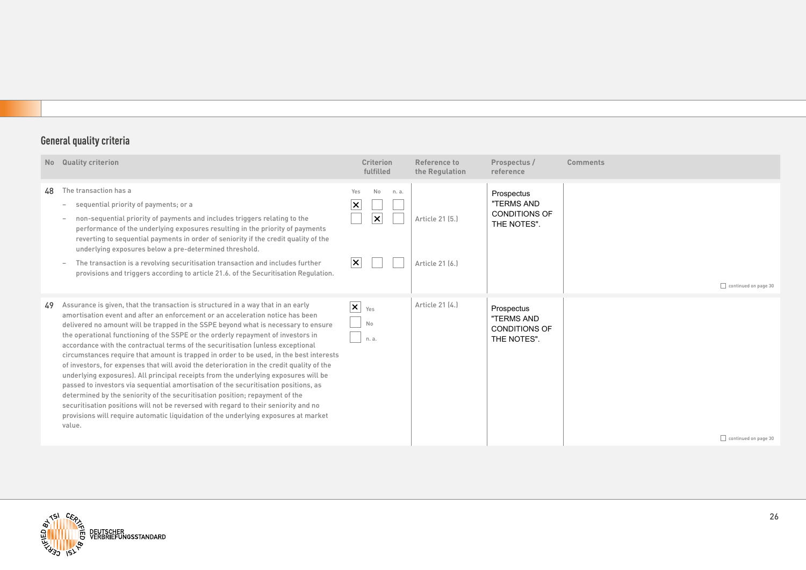| No | <b>Quality criterion</b>                                                                                                                                                                                                                                                                                                                                                                                                                                                                                                                                                                                                                                                                                                                                                                                                                                                                                                                                                                                                                                                      | <b>Criterion</b><br>fulfilled                                               | Reference to<br>the Regulation     | Prospectus /<br>reference                                       | <b>Comments</b>      |
|----|-------------------------------------------------------------------------------------------------------------------------------------------------------------------------------------------------------------------------------------------------------------------------------------------------------------------------------------------------------------------------------------------------------------------------------------------------------------------------------------------------------------------------------------------------------------------------------------------------------------------------------------------------------------------------------------------------------------------------------------------------------------------------------------------------------------------------------------------------------------------------------------------------------------------------------------------------------------------------------------------------------------------------------------------------------------------------------|-----------------------------------------------------------------------------|------------------------------------|-----------------------------------------------------------------|----------------------|
| 48 | The transaction has a<br>sequential priority of payments; or a<br>non-sequential priority of payments and includes triggers relating to the<br>performance of the underlying exposures resulting in the priority of payments<br>reverting to sequential payments in order of seniority if the credit quality of the<br>underlying exposures below a pre-determined threshold.<br>The transaction is a revolving securitisation transaction and includes further<br>provisions and triggers according to article 21.6. of the Securitisation Regulation.                                                                                                                                                                                                                                                                                                                                                                                                                                                                                                                       | Yes<br>No<br>n. a.<br>$\times$<br>$ \boldsymbol{\times} $<br>$ \mathsf{x} $ | Article 21 [5.]<br>Article 21 [6.] | Prospectus<br>"TERMS AND<br><b>CONDITIONS OF</b><br>THE NOTES". | continued on page 30 |
| 49 | Assurance is given, that the transaction is structured in a way that in an early<br>amortisation event and after an enforcement or an acceleration notice has been<br>delivered no amount will be trapped in the SSPE beyond what is necessary to ensure<br>the operational functioning of the SSPE or the orderly repayment of investors in<br>accordance with the contractual terms of the securitisation (unless exceptional<br>circumstances require that amount is trapped in order to be used, in the best interests<br>of investors, for expenses that will avoid the deterioration in the credit quality of the<br>underlying exposures). All principal receipts from the underlying exposures will be<br>passed to investors via sequential amortisation of the securitisation positions, as<br>determined by the seniority of the securitisation position; repayment of the<br>securitisation positions will not be reversed with regard to their seniority and no<br>provisions will require automatic liquidation of the underlying exposures at market<br>value. | $ \mathsf{x} $<br>Yes<br>No<br>n. a.                                        | Article 21 (4.)                    | Prospectus<br>"TERMS AND<br><b>CONDITIONS OF</b><br>THE NOTES". | continued on page 30 |

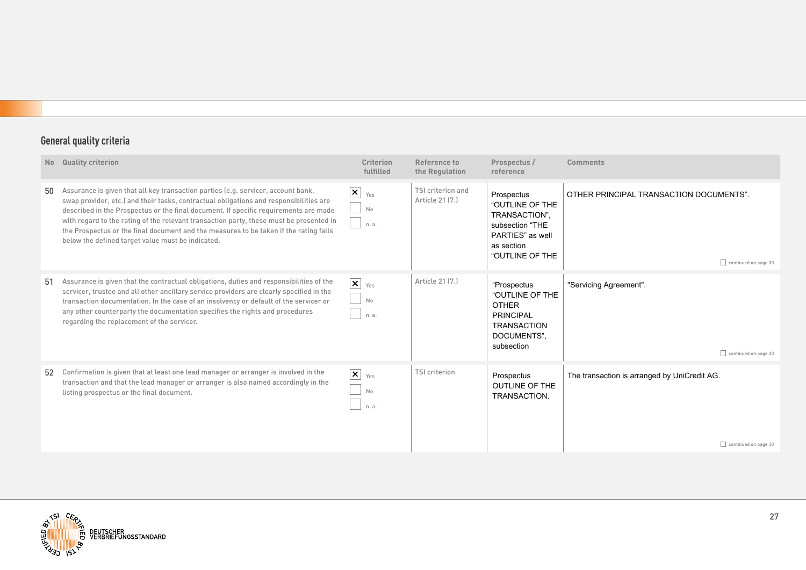|    | No Quality criterion                                                                                                                                                                                                                                                                                                                                                                                                                                                                                         | <b>Criterion</b><br>fulfilled         | Reference to<br>the Regulation       | Prospectus /<br>reference                                                                                              | <b>Comments</b>                                                      |
|----|--------------------------------------------------------------------------------------------------------------------------------------------------------------------------------------------------------------------------------------------------------------------------------------------------------------------------------------------------------------------------------------------------------------------------------------------------------------------------------------------------------------|---------------------------------------|--------------------------------------|------------------------------------------------------------------------------------------------------------------------|----------------------------------------------------------------------|
| 50 | Assurance is given that all key transaction parties (e.g. servicer, account bank,<br>swap provider, etc.) and their tasks, contractual obligations and responsibilities are<br>described in the Prospectus or the final document. If specific requirements are made<br>with regard to the rating of the relevant transaction party, these must be presented in<br>the Prospectus or the final document and the measures to be taken if the rating falls<br>below the defined target value must be indicated. | $\vert x \vert$<br>Yes<br>No<br>n. a. | TSI criterion and<br>Article 21 [7.] | Prospectus<br>"OUTLINE OF THE<br>TRANSACTION",<br>subsection "THE<br>PARTIES" as well<br>as section<br>"OUTLINE OF THE | OTHER PRINCIPAL TRANSACTION DOCUMENTS".<br>continued on page 30      |
| 51 | Assurance is given that the contractual obligations, duties and responsibilities of the<br>servicer, trustee and all other ancillary service providers are clearly specified in the<br>transaction documentation. In the case of an insolvency or default of the servicer or<br>any other counterparty the documentation specifies the rights and procedures<br>regarding the replacement of the servicer.                                                                                                   | $\vert x \vert$<br>Yes<br>No<br>n. a. | Article 21 (7.)                      | "Prospectus<br>"OUTLINE OF THE<br><b>OTHER</b><br><b>PRINCIPAL</b><br><b>TRANSACTION</b><br>DOCUMENTS",<br>subsection  | "Servicing Agreement".<br>continued on page 30                       |
| 52 | Confirmation is given that at least one lead manager or arranger is involved in the<br>transaction and that the lead manager or arranger is also named accordingly in the<br>listing prospectus or the final document.                                                                                                                                                                                                                                                                                       | $ \mathsf{x} $<br>Yes<br>No<br>n. a.  | <b>TSI</b> criterion                 | Prospectus<br><b>OUTLINE OF THE</b><br>TRANSACTION.                                                                    | The transaction is arranged by UniCredit AG.<br>continued on page 30 |

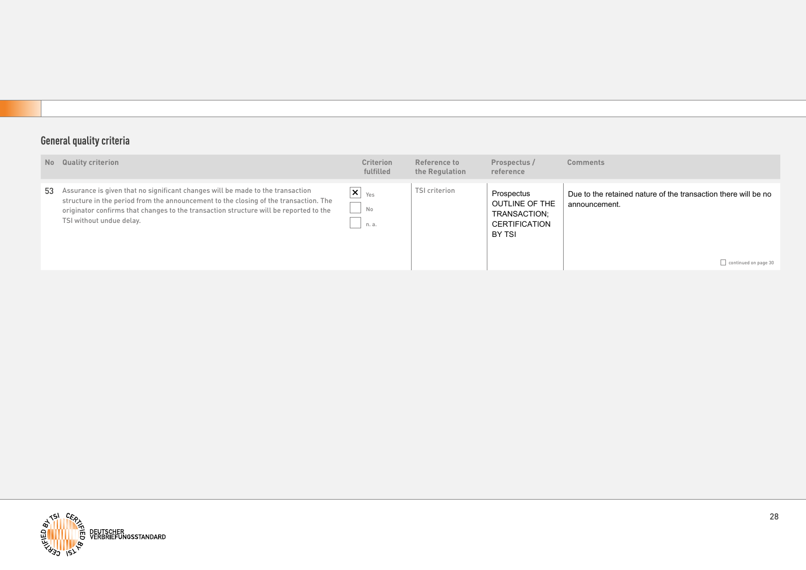|    | No Quality criterion                                                                                                                                                                                                                                                                        | <b>Criterion</b><br>fulfilled                     | Reference to<br>the Regulation | Prospectus /<br>reference                                                             | <b>Comments</b>                                                                                                |
|----|---------------------------------------------------------------------------------------------------------------------------------------------------------------------------------------------------------------------------------------------------------------------------------------------|---------------------------------------------------|--------------------------------|---------------------------------------------------------------------------------------|----------------------------------------------------------------------------------------------------------------|
| 53 | Assurance is given that no significant changes will be made to the transaction<br>structure in the period from the announcement to the closing of the transaction. The<br>originator confirms that changes to the transaction structure will be reported to the<br>TSI without undue delay. | $\mathsf{x} _{\gamma_{\text{es}}}$<br>No<br>n. a. | TSI criterion                  | Prospectus<br><b>OUTLINE OF THE</b><br>TRANSACTION;<br><b>CERTIFICATION</b><br>BY TSI | Due to the retained nature of the transaction there will be no<br>announcement.<br>$\Box$ continued on page 30 |

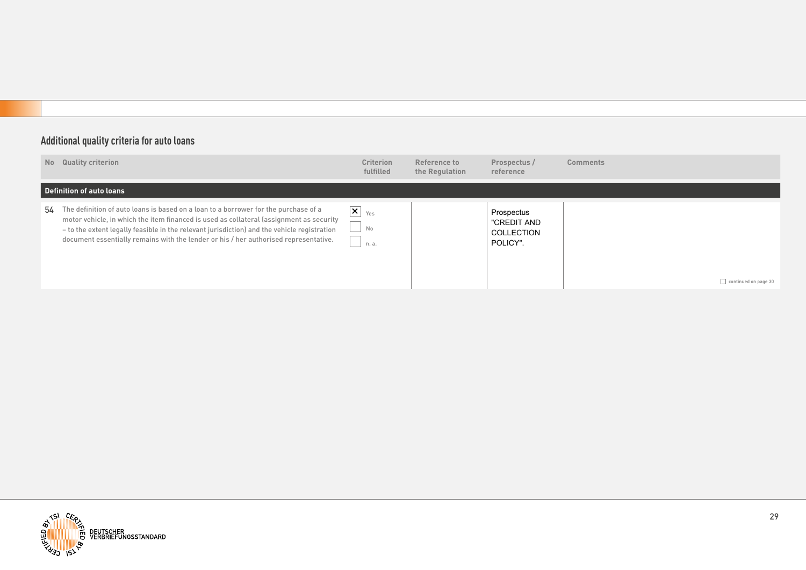## **Additional quality criteria for auto loans**

| No Quality criterion                                                                                                                                                                                                                                                                                                                                                     | <b>Criterion</b><br>fulfilled                          | Reference to<br>the Regulation | Prospectus /<br>reference                           | <b>Comments</b>      |
|--------------------------------------------------------------------------------------------------------------------------------------------------------------------------------------------------------------------------------------------------------------------------------------------------------------------------------------------------------------------------|--------------------------------------------------------|--------------------------------|-----------------------------------------------------|----------------------|
| Definition of auto loans                                                                                                                                                                                                                                                                                                                                                 |                                                        |                                |                                                     |                      |
| 54 The definition of auto loans is based on a loan to a borrower for the purchase of a<br>motor vehicle, in which the item financed is used as collateral (assignment as security<br>- to the extent legally feasible in the relevant jurisdiction) and the vehicle registration<br>document essentially remains with the lender or his / her authorised representative. | $\overline{\mathsf{x}}$ $_{\text{Yes}}$<br>No<br>n. a. |                                | Prospectus<br>"CREDIT AND<br>COLLECTION<br>POLICY". | continued on page 30 |

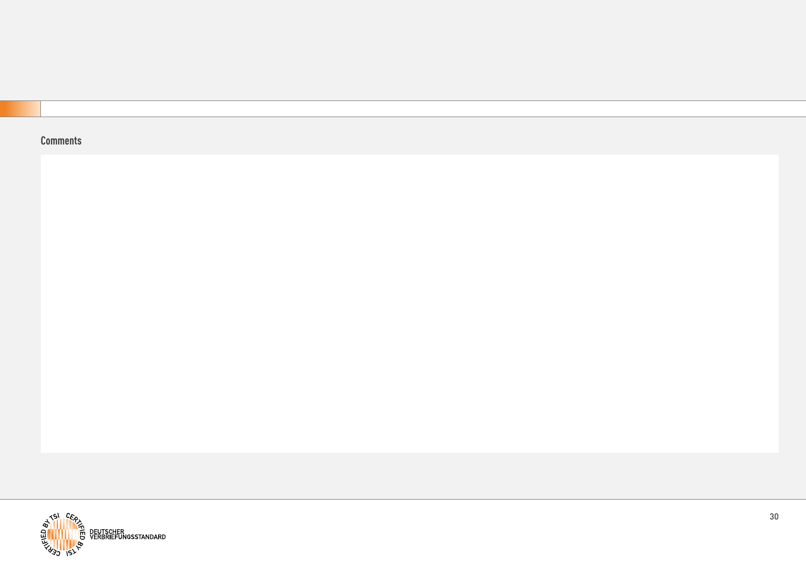